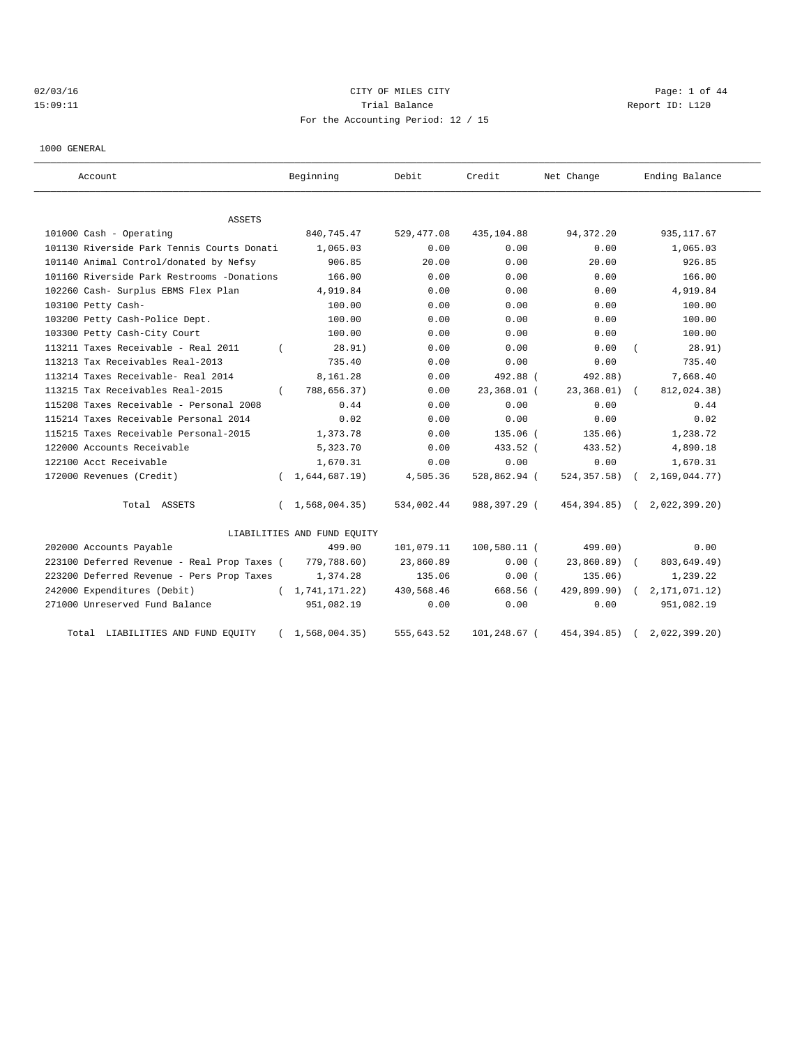# 02/03/16 CITY OF MILES CITY Page: 1 of 44 15:09:11 CHERRY TRIAL BALANCE Report ID: L120 For the Accounting Period: 12 / 15

1000 GENERAL

| Account                                     | Beginning                   | Debit      | Credit         | Net Change    | Ending Balance            |
|---------------------------------------------|-----------------------------|------------|----------------|---------------|---------------------------|
| ASSETS                                      |                             |            |                |               |                           |
| 101000 Cash - Operating                     | 840,745.47                  | 529,477.08 | 435,104.88     | 94, 372. 20   | 935, 117.67               |
| 101130 Riverside Park Tennis Courts Donati  | 1,065.03                    | 0.00       | 0.00           | 0.00          | 1,065.03                  |
| 101140 Animal Control/donated by Nefsy      | 906.85                      | 20.00      | 0.00           | 20.00         | 926.85                    |
| 101160 Riverside Park Restrooms -Donations  | 166.00                      | 0.00       | 0.00           | 0.00          | 166.00                    |
| 102260 Cash- Surplus EBMS Flex Plan         | 4,919.84                    | 0.00       | 0.00           | 0.00          | 4,919.84                  |
| 103100 Petty Cash-                          | 100.00                      | 0.00       | 0.00           | 0.00          | 100.00                    |
| 103200 Petty Cash-Police Dept.              | 100.00                      | 0.00       | 0.00           | 0.00          | 100.00                    |
| 103300 Petty Cash-City Court                | 100.00                      | 0.00       | 0.00           | 0.00          | 100.00                    |
| 113211 Taxes Receivable - Real 2011         | 28.91)                      | 0.00       | 0.00           | 0.00          | 28.91)                    |
| 113213 Tax Receivables Real-2013            | 735.40                      | 0.00       | 0.00           | 0.00          | 735.40                    |
| 113214 Taxes Receivable- Real 2014          | 8,161.28                    | 0.00       | 492.88 (       | 492.88)       | 7,668.40                  |
| 113215 Tax Receivables Real-2015            | 788,656.37)<br>$\left($     | 0.00       | 23,368.01 (    | 23, 368.01)   | 812,024.38)<br>$\sqrt{2}$ |
| 115208 Taxes Receivable - Personal 2008     | 0.44                        | 0.00       | 0.00           | 0.00          | 0.44                      |
| 115214 Taxes Receivable Personal 2014       | 0.02                        | 0.00       | 0.00           | 0.00          | 0.02                      |
| 115215 Taxes Receivable Personal-2015       | 1,373.78                    | 0.00       | 135.06 (       | 135.06)       | 1,238.72                  |
| 122000 Accounts Receivable                  | 5,323.70                    | 0.00       | 433.52 (       | 433.52)       | 4,890.18                  |
| 122100 Acct Receivable                      | 1,670.31                    | 0.00       | 0.00           | 0.00          | 1,670.31                  |
| 172000 Revenues (Credit)                    | 1,644,687.19)               | 4,505.36   | 528,862.94 (   | 524, 357.58)  | 2,169,044.77)             |
| Total ASSETS                                | 1,568,004.35)<br>$\left($   | 534,002.44 | 988,397.29 (   | 454,394.85) ( | 2,022,399.20)             |
|                                             | LIABILITIES AND FUND EQUITY |            |                |               |                           |
| 202000 Accounts Payable                     | 499.00                      | 101,079.11 | $100,580.11$ ( | 499.00)       | 0.00                      |
| 223100 Deferred Revenue - Real Prop Taxes ( | 779,788.60)                 | 23,860.89  | 0.00(          | $23,860.89$ ( | 803,649.49)               |
| 223200 Deferred Revenue - Pers Prop Taxes   | 1,374.28                    | 135.06     | 0.00(          | 135.06)       | 1,239.22                  |
| 242000 Expenditures (Debit)                 | (1, 741, 171.22)            | 430,568.46 | 668.56 (       | 429,899.90)   | 2, 171, 071.12)           |
| 271000 Unreserved Fund Balance              | 951,082.19                  | 0.00       | 0.00           | 0.00          | 951,082.19                |
| Total LIABILITIES AND FUND EQUITY           | 1,568,004.35)               | 555,643.52 | 101,248.67 (   | 454, 394.85)  | 2,022,399.20              |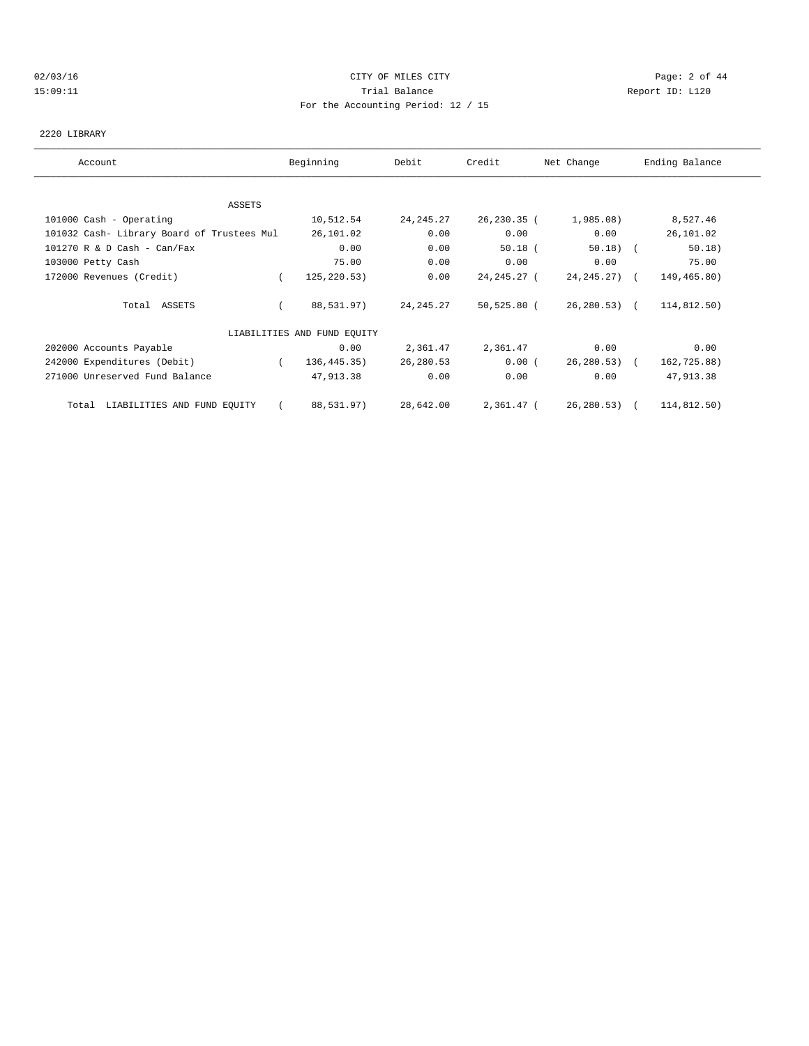# 02/03/16 CITY OF MILES CITY Page: 2 of 44 15:09:11 Trial Balance Report ID: L120 For the Accounting Period: 12 / 15

#### 2220 LIBRARY

| Account                                    | Beginning                   | Debit       | Credit        | Net Change   | Ending Balance |  |
|--------------------------------------------|-----------------------------|-------------|---------------|--------------|----------------|--|
|                                            |                             |             |               |              |                |  |
| ASSETS                                     |                             |             |               |              |                |  |
| 101000 Cash - Operating                    | 10,512.54                   | 24, 245. 27 | 26,230.35 (   | 1,985.08)    | 8,527.46       |  |
| 101032 Cash- Library Board of Trustees Mul | 26,101.02                   | 0.00        | 0.00          | 0.00         | 26,101.02      |  |
| 101270 R & D Cash - Can/Fax                | 0.00                        | 0.00        | $50.18$ (     | $50.18$ (    | 50.18)         |  |
| 103000 Petty Cash                          | 75.00                       | 0.00        | 0.00          | 0.00         | 75.00          |  |
| 172000 Revenues (Credit)                   | 125,220.53)                 | 0.00        | 24,245.27 (   | 24,245.27) ( | 149,465.80)    |  |
| Total ASSETS                               | 88,531.97)                  | 24, 245. 27 | $50,525.80$ ( | 26,280.53) ( | 114,812.50)    |  |
|                                            | LIABILITIES AND FUND EQUITY |             |               |              |                |  |
| 202000 Accounts Payable                    | 0.00                        | 2,361.47    | 2,361.47      | 0.00         | 0.00           |  |
| 242000 Expenditures (Debit)                | 136,445.35)                 | 26,280.53   | 0.00(         | 26,280.53) ( | 162,725.88)    |  |
| 271000 Unreserved Fund Balance             | 47,913.38                   | 0.00        | 0.00          | 0.00         | 47,913.38      |  |
| Total LIABILITIES AND FUND EQUITY          | 88,531.97)                  | 28,642.00   | 2,361.47 (    | 26,280.53)   | 114,812.50)    |  |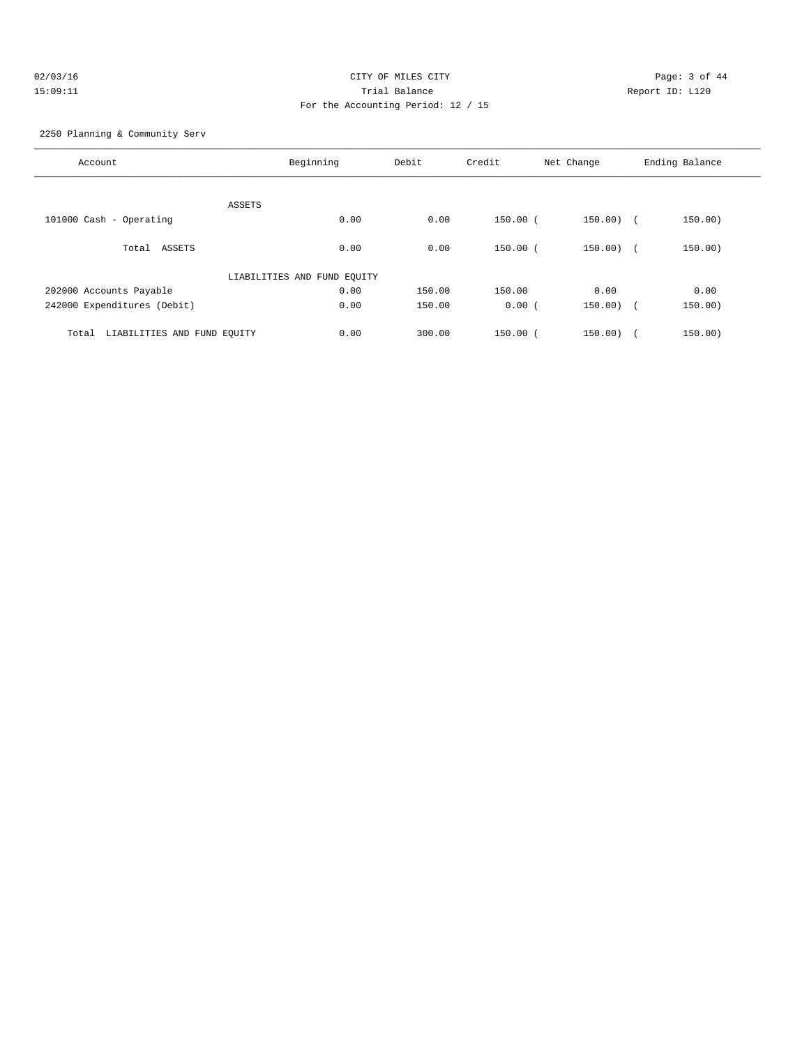# 02/03/16 CITY OF MILES CITY Page: 3 of 44 15:09:11 Trial Balance Report ID: L120 For the Accounting Period: 12 / 15

2250 Planning & Community Serv

| Account                              | Beginning                   | Debit  | Credit     | Net Change   | Ending Balance |
|--------------------------------------|-----------------------------|--------|------------|--------------|----------------|
|                                      |                             |        |            |              |                |
|                                      | ASSETS                      |        |            |              |                |
| 101000 Cash - Operating              | 0.00                        | 0.00   | 150.00 (   | $150.00)$ (  | 150.00)        |
| Total ASSETS                         | 0.00                        | 0.00   | $150.00$ ( | $150.00)$ (  | 150.00)        |
|                                      | LIABILITIES AND FUND EQUITY |        |            |              |                |
| 202000 Accounts Payable              | 0.00                        | 150.00 | 150.00     | 0.00         | 0.00           |
| 242000 Expenditures (Debit)          | 0.00                        | 150.00 | 0.00(      | $150.00$ ) ( | 150.00)        |
|                                      |                             |        |            |              |                |
| LIABILITIES AND FUND EQUITY<br>Total | 0.00                        | 300.00 | $150.00$ ( | 150.00)      | 150.00)        |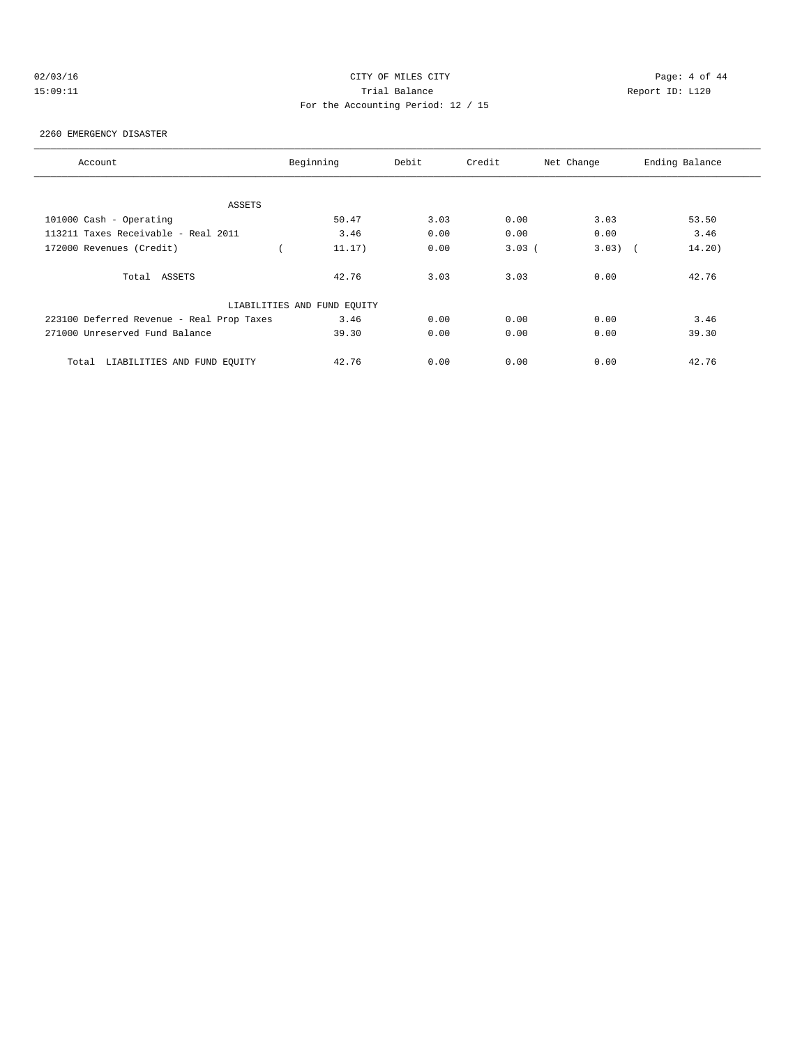# 02/03/16 CITY OF MILES CITY Page: 4 of 44 15:09:11 Trial Balance Report ID: L120 For the Accounting Period: 12 / 15

#### 2260 EMERGENCY DISASTER

| Account                                   | Beginning                   | Debit | Credit   | Net Change | Ending Balance |
|-------------------------------------------|-----------------------------|-------|----------|------------|----------------|
|                                           |                             |       |          |            |                |
| ASSETS                                    |                             |       |          |            |                |
| 101000 Cash - Operating                   | 50.47                       | 3.03  | 0.00     | 3.03       | 53.50          |
| 113211 Taxes Receivable - Real 2011       | 3.46                        | 0.00  | 0.00     | 0.00       | 3.46           |
| 172000 Revenues (Credit)                  | 11.17)                      | 0.00  | $3.03$ ( | $3.03)$ (  | 14.20)         |
|                                           |                             |       |          |            |                |
| Total ASSETS                              | 42.76                       | 3.03  | 3.03     | 0.00       | 42.76          |
|                                           |                             |       |          |            |                |
|                                           | LIABILITIES AND FUND EQUITY |       |          |            |                |
| 223100 Deferred Revenue - Real Prop Taxes | 3.46                        | 0.00  | 0.00     | 0.00       | 3.46           |
| 271000 Unreserved Fund Balance            | 39.30                       | 0.00  | 0.00     | 0.00       | 39.30          |
|                                           |                             |       |          |            |                |
| LIABILITIES AND FUND EOUITY<br>Total      | 42.76                       | 0.00  | 0.00     | 0.00       | 42.76          |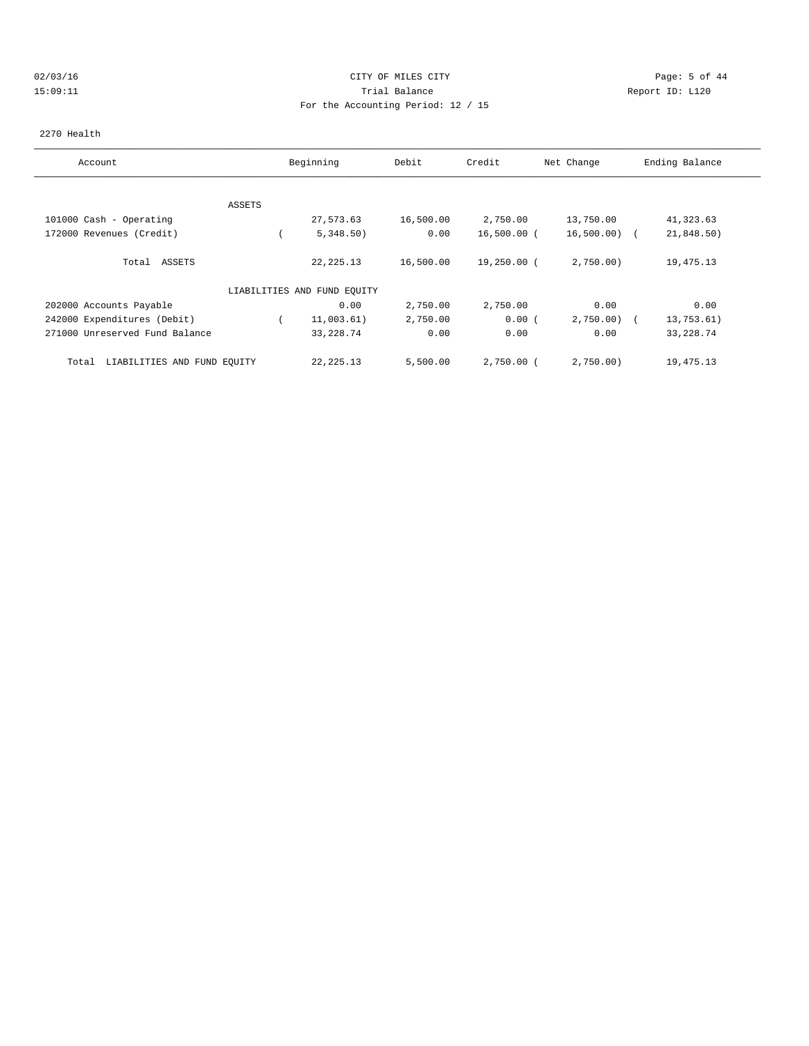# 02/03/16 CITY OF MILES CITY Page: 5 of 44 15:09:11 Trial Balance Report ID: L120 For the Accounting Period: 12 / 15

#### 2270 Health

| Account                              |        | Beginning                   | Debit     | Credit       | Net Change     | Ending Balance |
|--------------------------------------|--------|-----------------------------|-----------|--------------|----------------|----------------|
|                                      |        |                             |           |              |                |                |
|                                      | ASSETS |                             |           |              |                |                |
| 101000 Cash - Operating              |        | 27,573.63                   | 16,500.00 | 2,750.00     | 13,750.00      | 41,323.63      |
| 172000 Revenues (Credit)             |        | 5,348.50)                   | 0.00      | 16,500.00 (  | $16,500.00)$ ( | 21,848.50)     |
| Total ASSETS                         |        | 22, 225. 13                 | 16,500.00 | 19,250.00 (  | 2,750.00       | 19,475.13      |
|                                      |        | LIABILITIES AND FUND EQUITY |           |              |                |                |
| 202000 Accounts Payable              |        | 0.00                        | 2,750.00  | 2,750.00     | 0.00           | 0.00           |
| 242000 Expenditures (Debit)          |        | 11,003.61)                  | 2,750.00  | 0.00(        | 2,750.00       | 13,753.61)     |
| 271000 Unreserved Fund Balance       |        | 33, 228.74                  | 0.00      | 0.00         | 0.00           | 33, 228.74     |
| LIABILITIES AND FUND EQUITY<br>Total |        | 22, 225. 13                 | 5,500.00  | $2,750.00$ ( | 2,750.00)      | 19,475.13      |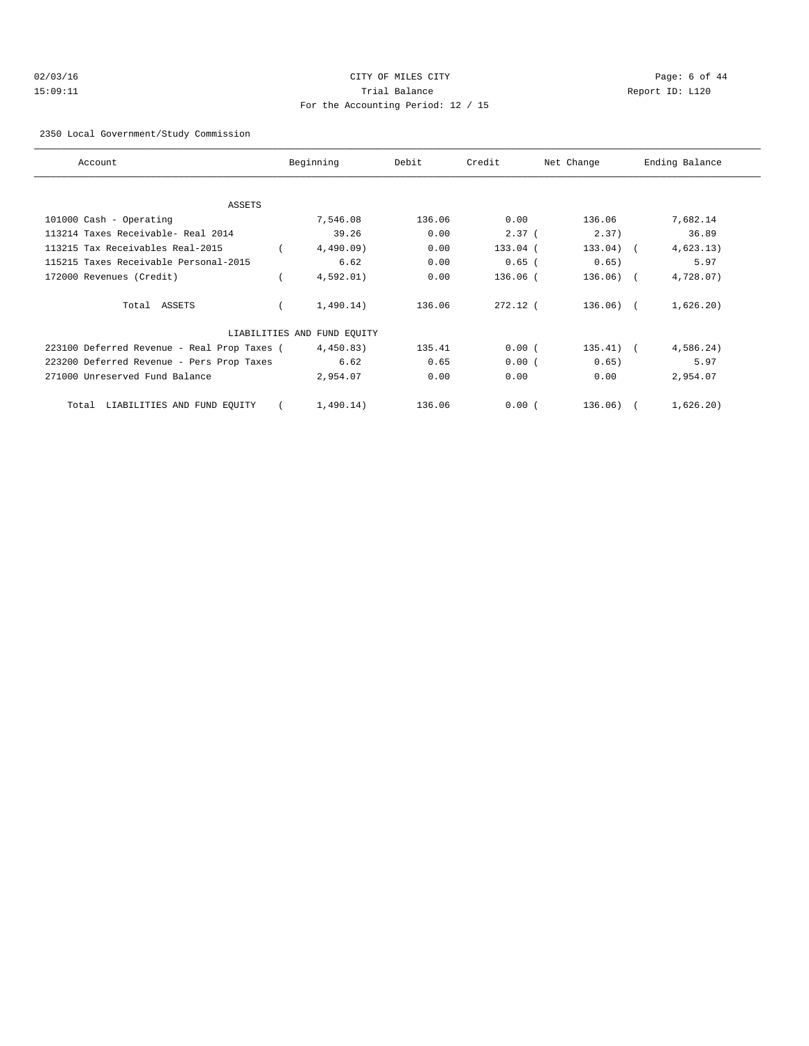# 02/03/16 CITY OF MILES CITY Page: 6 of 44 15:09:11 Trial Balance Report ID: L120 For the Accounting Period: 12 / 15

#### 2350 Local Government/Study Commission

| Account                                     | Beginning                   | Debit  | Credit       | Net Change  | Ending Balance |  |
|---------------------------------------------|-----------------------------|--------|--------------|-------------|----------------|--|
|                                             |                             |        |              |             |                |  |
| ASSETS                                      |                             |        |              |             |                |  |
| 101000 Cash - Operating                     | 7,546.08                    | 136.06 | 0.00         | 136.06      | 7,682.14       |  |
| 113214 Taxes Receivable- Real 2014          | 39.26                       | 0.00   | 2.37(        | 2.37)       | 36.89          |  |
| 113215 Tax Receivables Real-2015            | 4,490.09                    | 0.00   | 133.04 (     | $133.04)$ ( | 4,623.13)      |  |
| 115215 Taxes Receivable Personal-2015       | 6.62                        | 0.00   | $0.65$ (     | 0.65)       | 5.97           |  |
| 172000 Revenues (Credit)                    | 4,592.01)                   | 0.00   | $136.06$ $($ | $136.06)$ ( | 4,728.07)      |  |
| Total ASSETS                                | 1,490.14)                   | 136.06 | $272.12$ (   | $136.06)$ ( | 1,626.20)      |  |
|                                             | LIABILITIES AND FUND EQUITY |        |              |             |                |  |
| 223100 Deferred Revenue - Real Prop Taxes ( | 4,450.83)                   | 135.41 | 0.00(        | $135.41)$ ( | 4,586.24)      |  |
| 223200 Deferred Revenue - Pers Prop Taxes   | 6.62                        | 0.65   | 0.00(        | 0.65)       | 5.97           |  |
| 271000 Unreserved Fund Balance              | 2,954.07                    | 0.00   | 0.00         | 0.00        | 2,954.07       |  |
| Total LIABILITIES AND FUND EQUITY           | 1,490.14)                   | 136.06 | 0.00(        | 136.06)     | 1,626.20)      |  |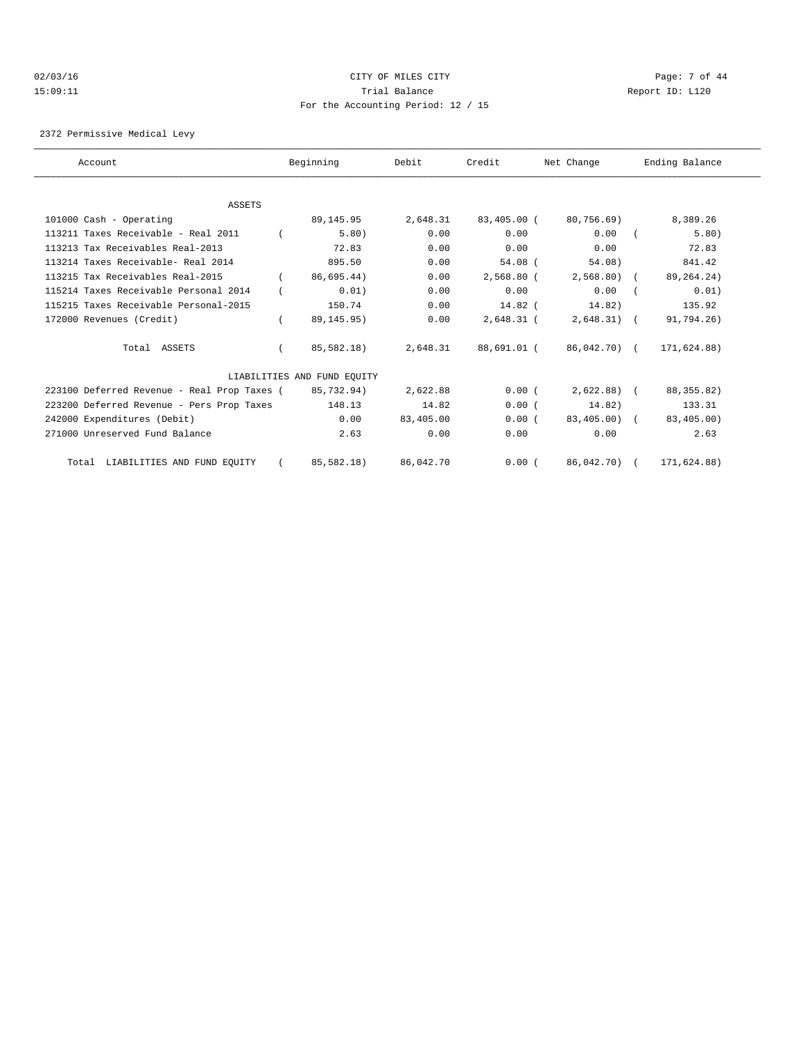# 02/03/16 Page: 7 of 44 15:09:11 Trial Balance Report ID: L120 For the Accounting Period: 12 / 15

2372 Permissive Medical Levy

| Account                                     | Beginning                   | Debit     | Credit       | Net Change   | Ending Balance |  |
|---------------------------------------------|-----------------------------|-----------|--------------|--------------|----------------|--|
|                                             |                             |           |              |              |                |  |
| ASSETS                                      |                             |           |              |              |                |  |
| 101000 Cash - Operating                     | 89,145.95                   | 2,648.31  | 83,405.00 (  | 80,756.69)   | 8,389.26       |  |
| 113211 Taxes Receivable - Real 2011         | 5.80)                       | 0.00      | 0.00         | 0.00         | 5.80)          |  |
| 113213 Tax Receivables Real-2013            | 72.83                       | 0.00      | 0.00         | 0.00         | 72.83          |  |
| 113214 Taxes Receivable- Real 2014          | 895.50                      | 0.00      | $54.08$ (    | 54.08)       | 841.42         |  |
| 113215 Tax Receivables Real-2015            | 86.695.44)                  | 0.00      | $2.568.80$ ( | 2,568.80)    | 89, 264. 24)   |  |
| 115214 Taxes Receivable Personal 2014       | 0.01)                       | 0.00      | 0.00         | 0.00         | 0.01)          |  |
| 115215 Taxes Receivable Personal-2015       | 150.74                      | 0.00      | $14.82$ (    | 14.82)       | 135.92         |  |
| 172000 Revenues (Credit)                    | 89, 145. 95)                | 0.00      | $2,648.31$ ( | $2,648.31$ ( | 91,794.26)     |  |
| Total ASSETS                                | 85,582.18)                  | 2,648.31  | 88,691.01 (  | 86,042.70) ( | 171,624.88)    |  |
|                                             | LIABILITIES AND FUND EOUITY |           |              |              |                |  |
| 223100 Deferred Revenue - Real Prop Taxes ( | 85,732.94)                  | 2,622.88  | 0.00(        | $2,622.88$ ( | 88, 355.82)    |  |
| 223200 Deferred Revenue - Pers Prop Taxes   | 148.13                      | 14.82     | 0.00(        | 14.82)       | 133.31         |  |
| 242000 Expenditures (Debit)                 | 0.00                        | 83,405.00 | 0.00(        | 83,405.00) ( | 83,405.00)     |  |
| 271000 Unreserved Fund Balance              | 2.63                        | 0.00      | 0.00         | 0.00         | 2.63           |  |
| Total LIABILITIES AND FUND EQUITY           | 85,582.18)                  | 86,042.70 | 0.00(        | 86,042.70)   | 171,624.88)    |  |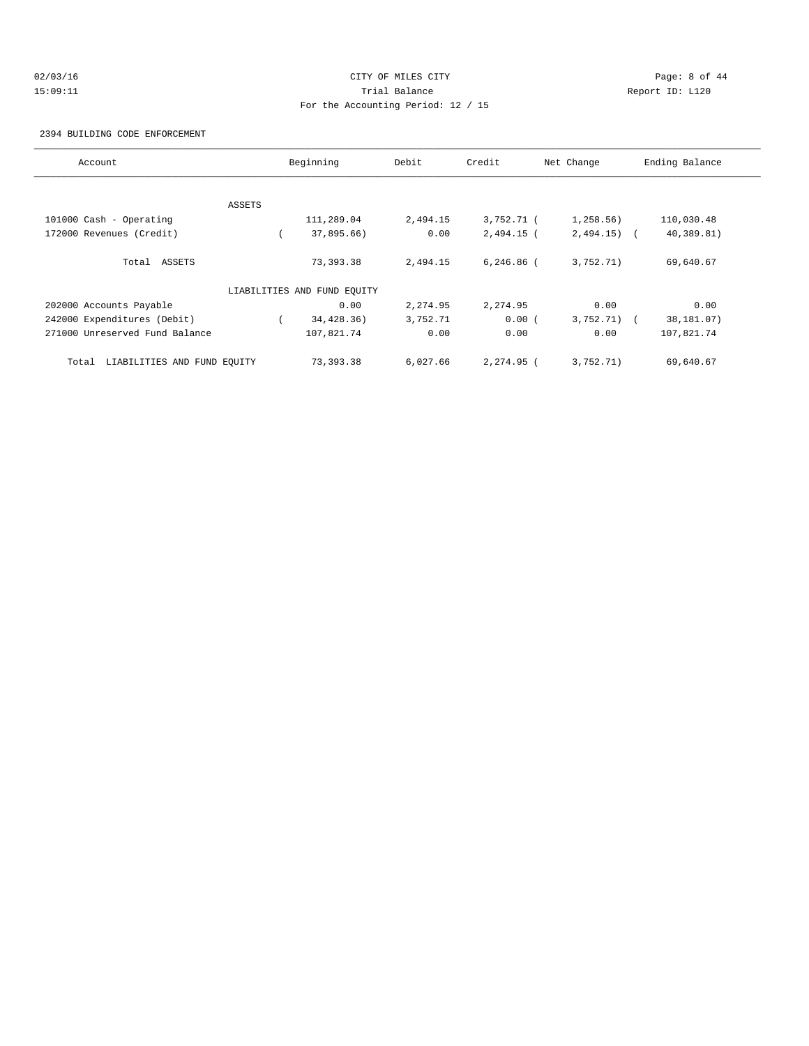# 02/03/16 CITY OF MILES CITY Page: 8 of 44 15:09:11 Trial Balance Report ID: L120 For the Accounting Period: 12 / 15

2394 BUILDING CODE ENFORCEMENT

| Account                              |        | Beginning                   | Debit    | Credit       | Net Change   | Ending Balance |
|--------------------------------------|--------|-----------------------------|----------|--------------|--------------|----------------|
|                                      |        |                             |          |              |              |                |
|                                      | ASSETS |                             |          |              |              |                |
| 101000 Cash - Operating              |        | 111,289.04                  | 2,494.15 | 3,752.71 (   | 1,258.56)    | 110,030.48     |
| 172000 Revenues (Credit)             |        | 37,895.66)                  | 0.00     | 2,494.15 (   | $2,494.15$ ( | 40,389.81)     |
| Total ASSETS                         |        | 73,393.38                   | 2,494.15 | $6,246.86$ ( | 3,752.71)    | 69,640.67      |
|                                      |        | LIABILITIES AND FUND EQUITY |          |              |              |                |
| 202000 Accounts Payable              |        | 0.00                        | 2,274.95 | 2,274.95     | 0.00         | 0.00           |
| 242000 Expenditures (Debit)          |        | 34,428.36)                  | 3,752.71 | 0.00(        | $3,752.71$ ( | 38,181.07)     |
| 271000 Unreserved Fund Balance       |        | 107,821.74                  | 0.00     | 0.00         | 0.00         | 107,821.74     |
| LIABILITIES AND FUND EQUITY<br>Total |        | 73,393.38                   | 6,027.66 | $2.274.95$ ( | 3,752.71)    | 69,640.67      |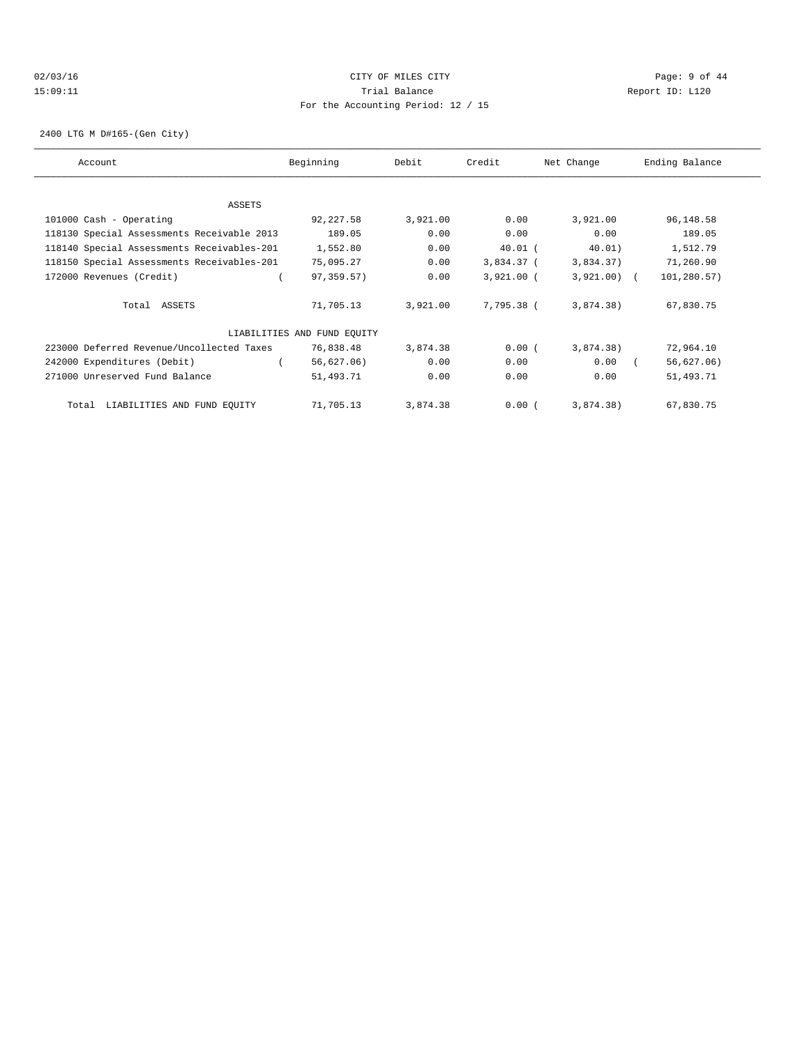# 02/03/16 CITY OF MILES CITY Page: 9 of 44 15:09:11 Trial Balance Report ID: L120 For the Accounting Period: 12 / 15

2400 LTG M D#165-(Gen City)

| Account                                    | Beginning                   | Debit    | Credit       | Net Change   | Ending Balance |
|--------------------------------------------|-----------------------------|----------|--------------|--------------|----------------|
|                                            |                             |          |              |              |                |
| ASSETS                                     |                             |          |              |              |                |
| 101000 Cash - Operating                    | 92, 227.58                  | 3,921.00 | 0.00         | 3,921.00     | 96,148.58      |
| 118130 Special Assessments Receivable 2013 | 189.05                      | 0.00     | 0.00         | 0.00         | 189.05         |
| 118140 Special Assessments Receivables-201 | 1,552.80                    | 0.00     | $40.01$ (    | 40.01)       | 1,512.79       |
| 118150 Special Assessments Receivables-201 | 75,095.27                   | 0.00     | 3,834.37 (   | 3,834.37)    | 71,260.90      |
| 172000 Revenues (Credit)                   | 97,359.57)                  | 0.00     | $3,921.00$ ( | $3,921.00$ ( | 101,280.57)    |
| Total ASSETS                               | 71,705.13                   | 3,921.00 | 7,795.38 (   | 3,874.38)    | 67,830.75      |
|                                            | LIABILITIES AND FUND EQUITY |          |              |              |                |
| 223000 Deferred Revenue/Uncollected Taxes  | 76,838.48                   | 3,874.38 | 0.00(        | 3,874.38)    | 72,964.10      |
| 242000 Expenditures (Debit)                | 56,627.06)                  | 0.00     | 0.00         | 0.00         | 56,627.06)     |
| 271000 Unreserved Fund Balance             | 51,493.71                   | 0.00     | 0.00         | 0.00         | 51,493.71      |
| LIABILITIES AND FUND EQUITY<br>Total       | 71,705.13                   | 3,874.38 | 0.00(        | 3,874.38)    | 67,830.75      |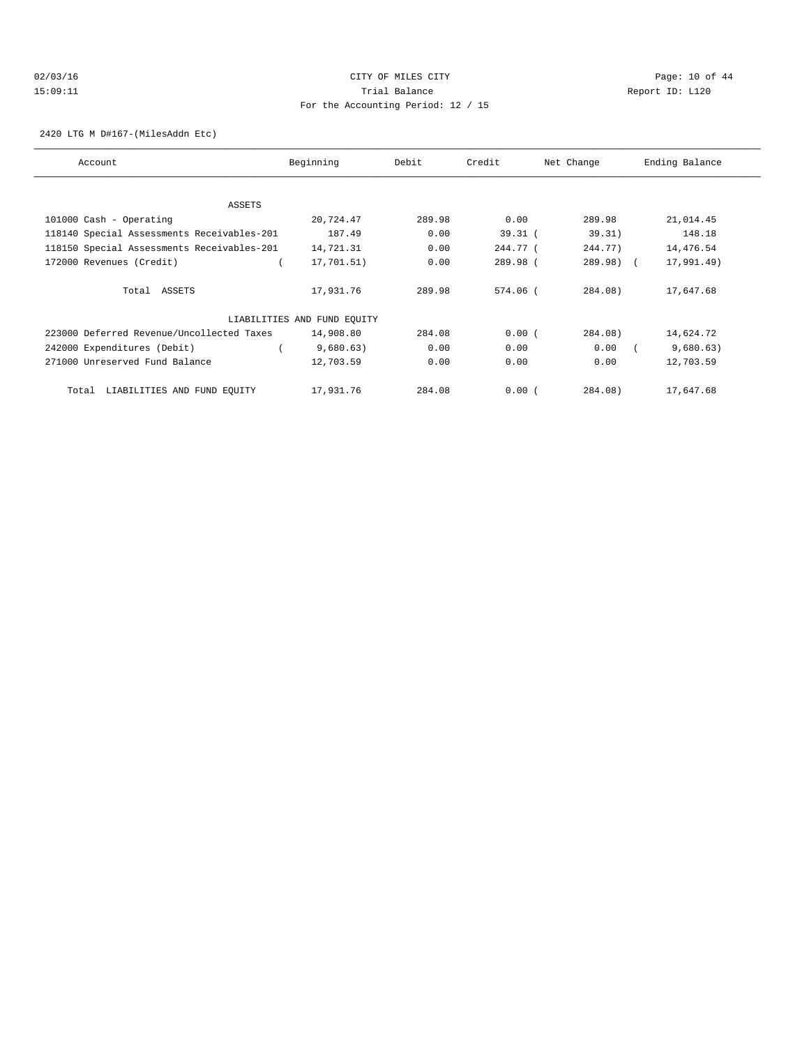# $O2/03/16$  Page: 10 of 44 15:09:11 Trial Balance Report ID: L120 For the Accounting Period: 12 / 15

2420 LTG M D#167-(MilesAddn Etc)

| Account                                    | Beginning                   | Debit  | Credit     | Net Change   | Ending Balance |
|--------------------------------------------|-----------------------------|--------|------------|--------------|----------------|
|                                            |                             |        |            |              |                |
| ASSETS                                     |                             |        |            |              |                |
| 101000 Cash - Operating                    | 20,724.47                   | 289.98 | 0.00       | 289.98       | 21,014.45      |
| 118140 Special Assessments Receivables-201 | 187.49                      | 0.00   | $39.31$ (  | 39.31)       | 148.18         |
| 118150 Special Assessments Receivables-201 | 14,721.31                   | 0.00   | 244.77 (   | 244.77)      | 14,476.54      |
| 172000 Revenues (Credit)                   | 17,701.51)                  | 0.00   | 289.98 (   | $289.98$ ) ( | 17,991.49)     |
|                                            |                             |        |            |              |                |
| Total ASSETS                               | 17,931.76                   | 289.98 | $574.06$ ( | 284.08       | 17,647.68      |
|                                            |                             |        |            |              |                |
|                                            | LIABILITIES AND FUND EQUITY |        |            |              |                |
| 223000 Deferred Revenue/Uncollected Taxes  | 14,908.80                   | 284.08 | 0.00(      | 284.08)      | 14,624.72      |
| 242000 Expenditures (Debit)                | 9,680.63)                   | 0.00   | 0.00       | 0.00         | 9,680.63)      |
| 271000 Unreserved Fund Balance             | 12,703.59                   | 0.00   | 0.00       | 0.00         | 12,703.59      |
|                                            |                             |        |            |              |                |
| LIABILITIES AND FUND EQUITY<br>Total       | 17,931.76                   | 284.08 | 0.00(      | $284.08$ )   | 17,647.68      |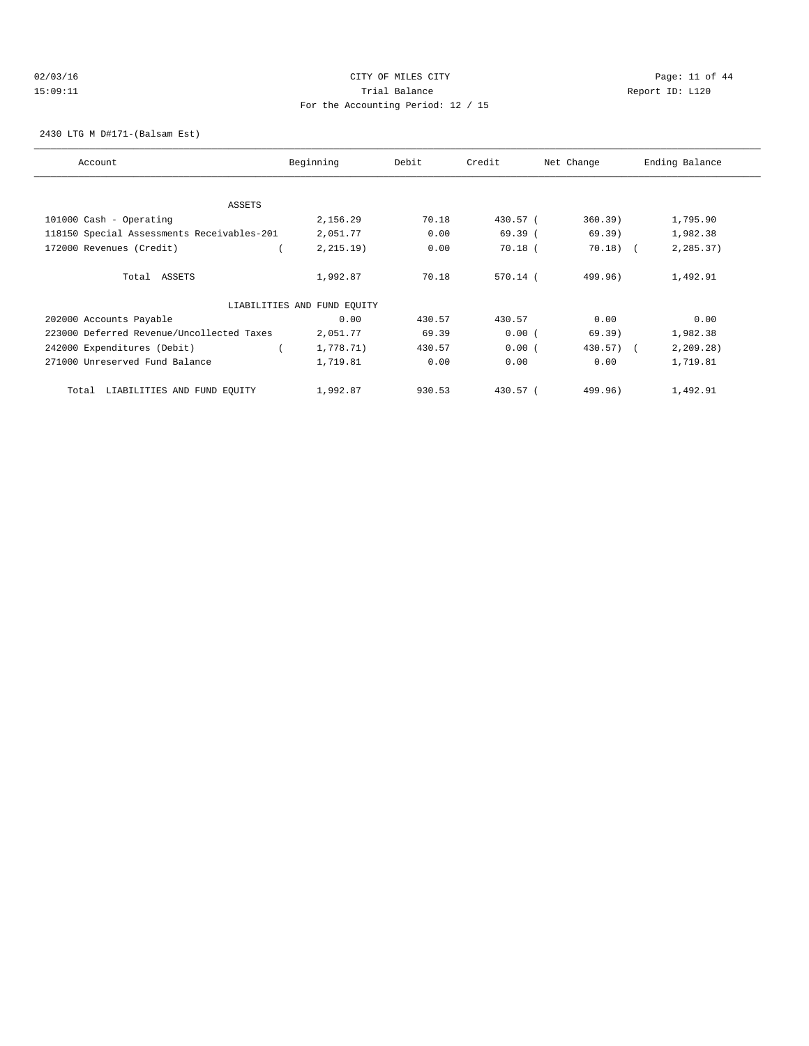# $O2/03/16$  Page: 11 of 44 15:09:11 Trial Balance Report ID: L120 For the Accounting Period: 12 / 15

2430 LTG M D#171-(Balsam Est)

| Account                                    | Beginning                   | Debit  | Credit     | Net Change | Ending Balance |
|--------------------------------------------|-----------------------------|--------|------------|------------|----------------|
|                                            |                             |        |            |            |                |
|                                            |                             |        |            |            |                |
| ASSETS                                     |                             |        |            |            |                |
| 101000 Cash - Operating                    | 2,156.29                    | 70.18  | 430.57 (   | 360.39)    | 1,795.90       |
| 118150 Special Assessments Receivables-201 | 2,051.77                    | 0.00   | 69.39(     | 69.39)     | 1,982.38       |
| 172000 Revenues (Credit)                   | 2, 215.19)                  | 0.00   | $70.18$ (  | $70.18$ (  | 2,285.37)      |
| Total ASSETS                               | 1,992.87                    | 70.18  | $570.14$ ( | 499.96)    | 1,492.91       |
|                                            | LIABILITIES AND FUND EQUITY |        |            |            |                |
| 202000 Accounts Payable                    | 0.00                        | 430.57 | 430.57     | 0.00       | 0.00           |
| 223000 Deferred Revenue/Uncollected Taxes  | 2,051.77                    | 69.39  | 0.00(      | 69.39)     | 1,982.38       |
| 242000 Expenditures (Debit)                | 1,778.71)                   | 430.57 | 0.00(      | $430.57$ ( | 2, 209.28)     |
| 271000 Unreserved Fund Balance             | 1,719.81                    | 0.00   | 0.00       | 0.00       | 1,719.81       |
| LIABILITIES AND FUND EQUITY<br>Total       | 1,992.87                    | 930.53 | 430.57 (   | 499.96)    | 1,492.91       |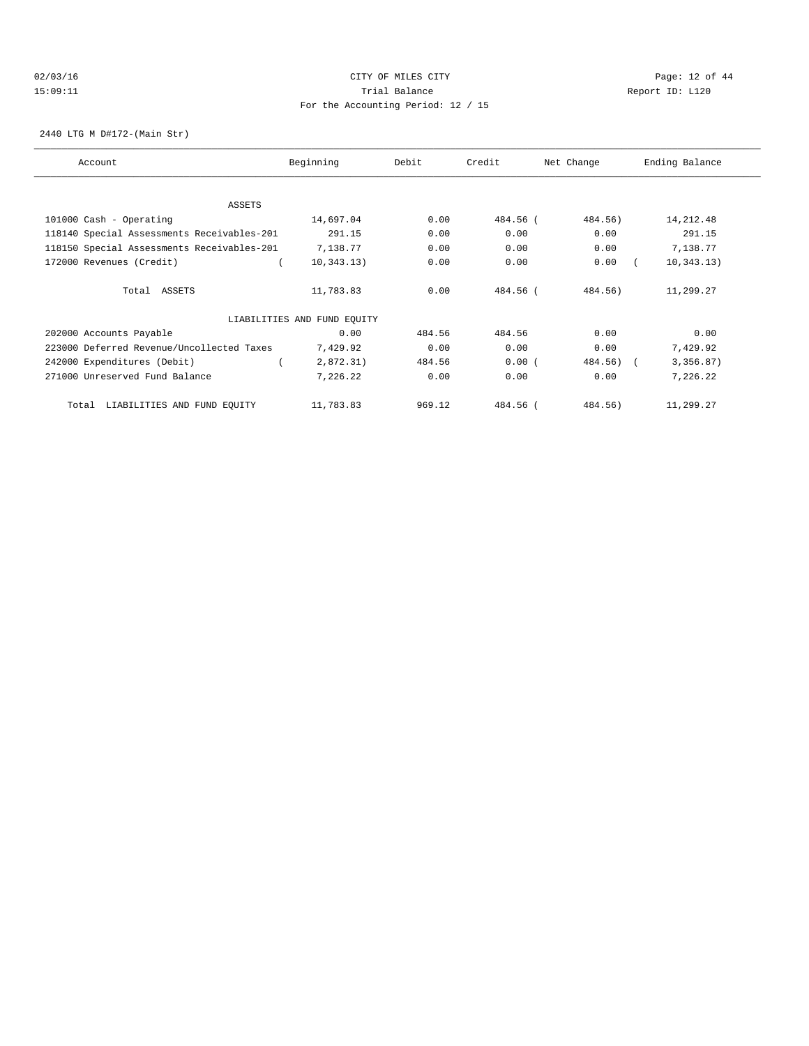# $O2/03/16$  Page: 12 of 44 15:09:11 Trial Balance Report ID: L120 For the Accounting Period: 12 / 15

2440 LTG M D#172-(Main Str)

| Account                                    | Beginning                   | Debit  | Credit   | Net Change   | Ending Balance |
|--------------------------------------------|-----------------------------|--------|----------|--------------|----------------|
|                                            |                             |        |          |              |                |
| ASSETS                                     |                             |        |          |              |                |
| 101000 Cash - Operating                    | 14,697.04                   | 0.00   | 484.56 ( | 484.56)      | 14, 212.48     |
| 118140 Special Assessments Receivables-201 | 291.15                      | 0.00   | 0.00     | 0.00         | 291.15         |
| 118150 Special Assessments Receivables-201 | 7,138.77                    | 0.00   | 0.00     | 0.00         | 7,138.77       |
| 172000 Revenues (Credit)                   | 10, 343.13)                 | 0.00   | 0.00     | 0.00         | 10, 343.13)    |
| Total ASSETS                               | 11,783.83                   | 0.00   | 484.56 ( | 484.56)      | 11,299.27      |
|                                            | LIABILITIES AND FUND EQUITY |        |          |              |                |
| 202000 Accounts Payable                    | 0.00                        | 484.56 | 484.56   | 0.00         | 0.00           |
| 223000 Deferred Revenue/Uncollected Taxes  | 7,429.92                    | 0.00   | 0.00     | 0.00         | 7,429.92       |
| 242000 Expenditures (Debit)                | 2,872.31)                   | 484.56 | 0.00(    | $484.56$ ) ( | 3,356.87)      |
| 271000 Unreserved Fund Balance             | 7,226.22                    | 0.00   | 0.00     | 0.00         | 7,226.22       |
| Total LIABILITIES AND FUND EQUITY          | 11,783.83                   | 969.12 | 484.56 ( | 484.56)      | 11,299.27      |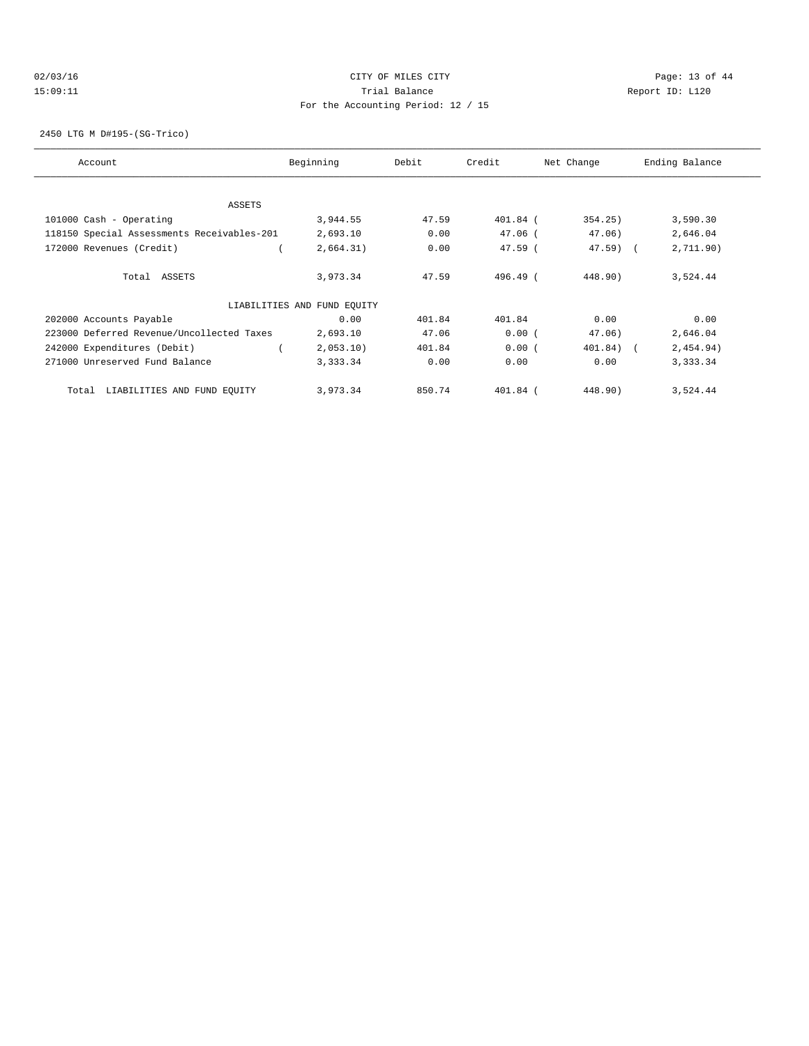# $O2/03/16$  Page: 13 of 44 15:09:11 Trial Balance Report ID: L120 For the Accounting Period: 12 / 15

2450 LTG M D#195-(SG-Trico)

| Account                                    | Beginning                   | Debit  | Credit     | Net Change   | Ending Balance |
|--------------------------------------------|-----------------------------|--------|------------|--------------|----------------|
|                                            |                             |        |            |              |                |
| ASSETS                                     |                             |        |            |              |                |
| 101000 Cash - Operating                    | 3,944.55                    | 47.59  | 401.84 (   | 354.25)      | 3,590.30       |
| 118150 Special Assessments Receivables-201 | 2,693.10                    | 0.00   | $47.06$ (  | 47.06)       | 2,646.04       |
| 172000 Revenues (Credit)                   | 2,664.31)                   | 0.00   | $47.59$ (  | $47.59$ (    | 2,711.90)      |
| Total ASSETS                               | 3,973.34                    | 47.59  | $496.49$ ( | 448.90)      | 3,524.44       |
|                                            | LIABILITIES AND FUND EQUITY |        |            |              |                |
| 202000 Accounts Payable                    | 0.00                        | 401.84 | 401.84     | 0.00         | 0.00           |
| 223000 Deferred Revenue/Uncollected Taxes  | 2,693.10                    | 47.06  | 0.00(      | 47.06)       | 2,646.04       |
| 242000 Expenditures (Debit)                | 2,053.10                    | 401.84 | 0.00(      | $401.84$ ) ( | 2,454.94)      |
| 271000 Unreserved Fund Balance             | 3,333.34                    | 0.00   | 0.00       | 0.00         | 3,333.34       |
| LIABILITIES AND FUND EQUITY<br>Total       | 3,973.34                    | 850.74 | $401.84$ ( | 448.90)      | 3,524.44       |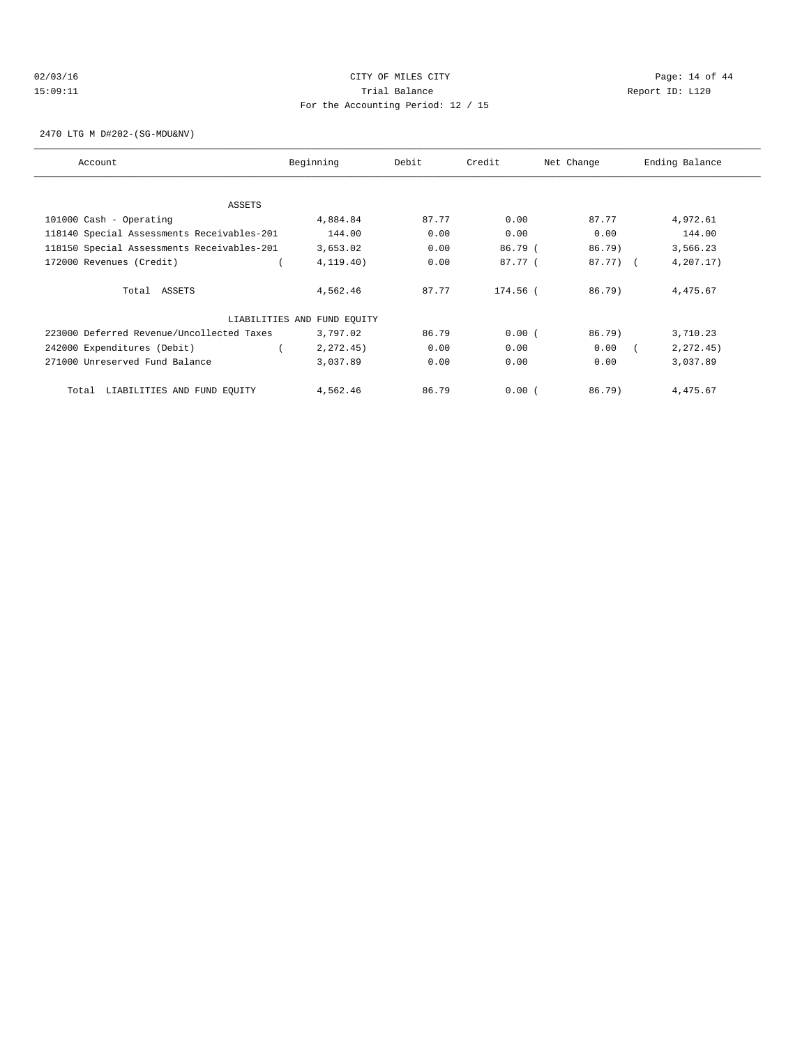# $O2/03/16$  Page: 14 of 44 15:09:11 Trial Balance Report ID: L120 For the Accounting Period: 12 / 15

2470 LTG M D#202-(SG-MDU&NV)

| Account                                    | Beginning                   | Debit | Credit   | Net Change | Ending Balance |
|--------------------------------------------|-----------------------------|-------|----------|------------|----------------|
|                                            |                             |       |          |            |                |
| ASSETS                                     |                             |       |          |            |                |
| 101000 Cash - Operating                    | 4,884.84                    | 87.77 | 0.00     | 87.77      | 4,972.61       |
| 118140 Special Assessments Receivables-201 | 144.00                      | 0.00  | 0.00     | 0.00       | 144.00         |
| 118150 Special Assessments Receivables-201 | 3,653.02                    | 0.00  | 86.79 (  | $86.79$ )  | 3,566.23       |
| 172000 Revenues (Credit)                   | 4, 119.40)                  | 0.00  | 87.77 (  | $87.77)$ ( | 4,207.17)      |
| Total ASSETS                               | 4,562.46                    | 87.77 | 174.56 ( | $86.79$ )  | 4,475.67       |
|                                            | LIABILITIES AND FUND EQUITY |       |          |            |                |
| 223000 Deferred Revenue/Uncollected Taxes  | 3,797.02                    | 86.79 | 0.00(    | 86.79)     | 3,710.23       |
| 242000 Expenditures (Debit)                | 2, 272.45)                  | 0.00  | 0.00     | 0.00       | 2, 272, 45)    |
| 271000 Unreserved Fund Balance             | 3,037.89                    | 0.00  | 0.00     | 0.00       | 3,037.89       |
| LIABILITIES AND FUND EQUITY<br>Total       | 4,562.46                    | 86.79 | 0.00(    | 86.79)     | 4,475.67       |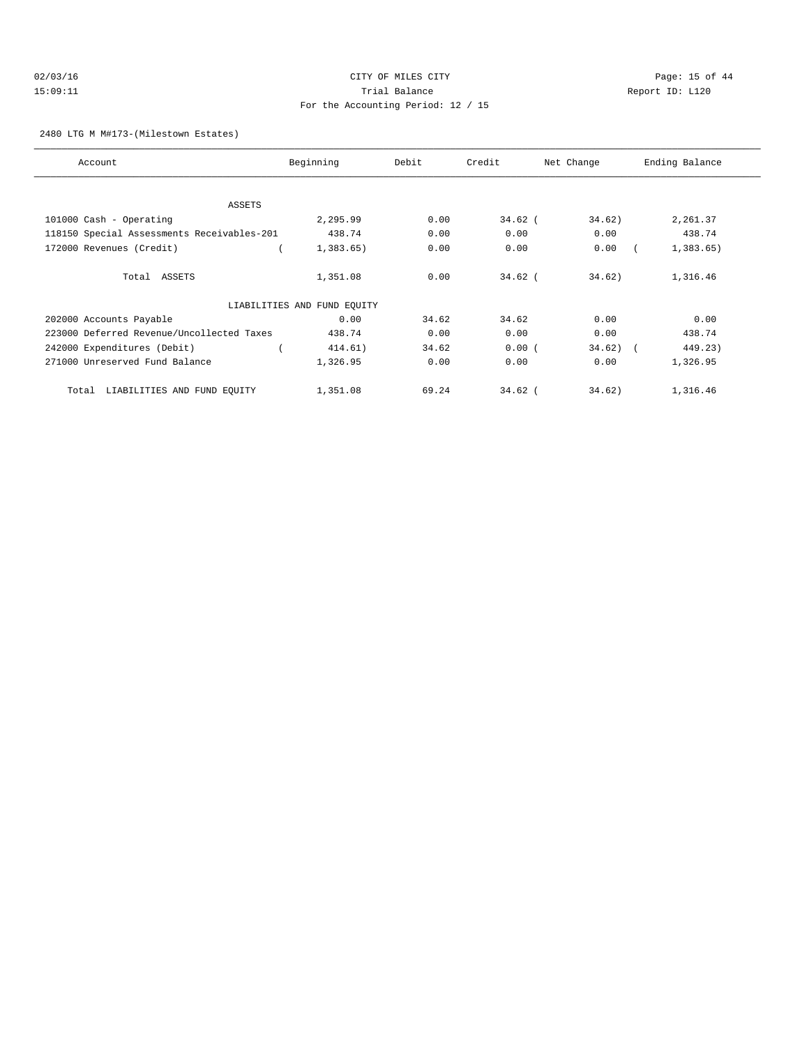# $O2/03/16$  Page: 15 of 44 15:09:11 Trial Balance Report ID: L120 For the Accounting Period: 12 / 15

#### 2480 LTG M M#173-(Milestown Estates)

| Account                                    | Beginning                   | Debit | Credit    | Net Change | Ending Balance |
|--------------------------------------------|-----------------------------|-------|-----------|------------|----------------|
|                                            |                             |       |           |            |                |
| ASSETS<br>101000 Cash - Operating          | 2,295.99                    | 0.00  | $34.62$ ( | 34.62)     | 2,261.37       |
|                                            |                             |       |           |            |                |
| 118150 Special Assessments Receivables-201 | 438.74                      | 0.00  | 0.00      | 0.00       | 438.74         |
| 172000 Revenues (Credit)                   | 1,383.65                    | 0.00  | 0.00      | 0.00       | 1,383.65)      |
| Total ASSETS                               | 1,351.08                    | 0.00  | $34.62$ ( | 34.62)     | 1,316.46       |
|                                            | LIABILITIES AND FUND EQUITY |       |           |            |                |
| 202000 Accounts Payable                    | 0.00                        | 34.62 | 34.62     | 0.00       | 0.00           |
| 223000 Deferred Revenue/Uncollected Taxes  | 438.74                      | 0.00  | 0.00      | 0.00       | 438.74         |
| 242000 Expenditures (Debit)                | 414.61)                     | 34.62 | 0.00(     | $34.62)$ ( | 449.23)        |
| 271000 Unreserved Fund Balance             | 1,326.95                    | 0.00  | 0.00      | 0.00       | 1,326.95       |
| LIABILITIES AND FUND EQUITY<br>Total       | 1,351.08                    | 69.24 | $34.62$ ( | 34.62)     | 1,316.46       |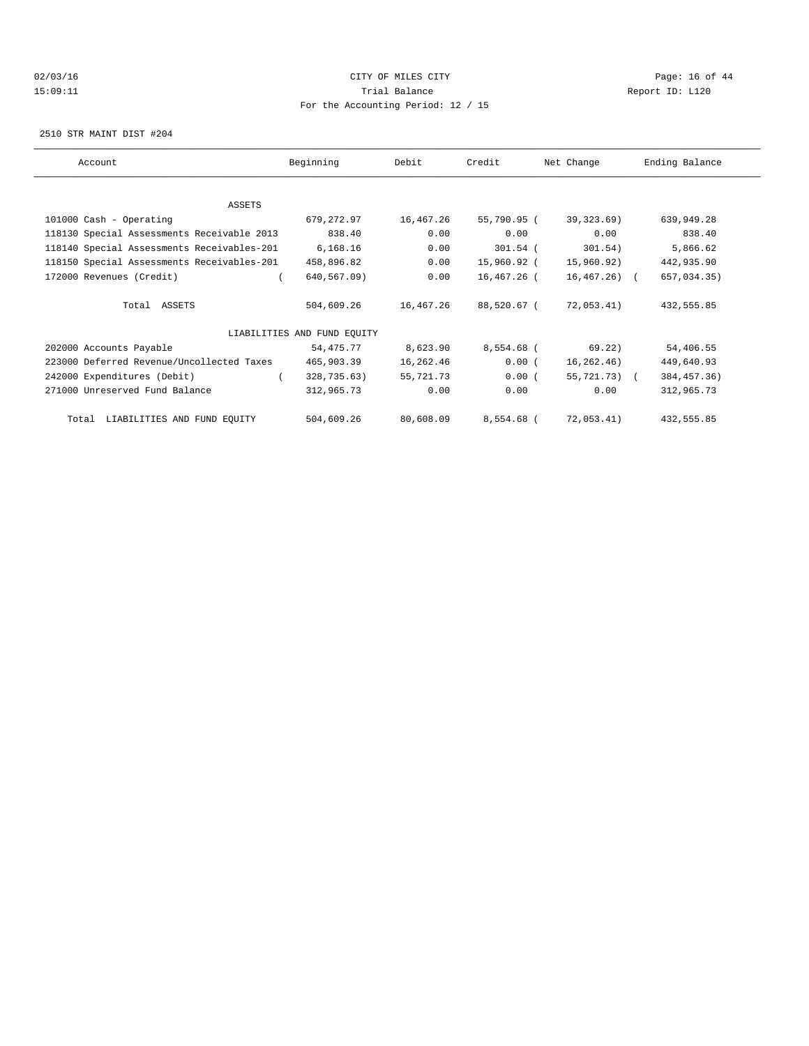# $O2/03/16$  Page: 16 of 44 15:09:11 Trial Balance Report ID: L120 For the Accounting Period: 12 / 15

2510 STR MAINT DIST #204

| Account                                    | Beginning                   | Debit     | Credit      | Net Change    | Ending Balance |
|--------------------------------------------|-----------------------------|-----------|-------------|---------------|----------------|
|                                            |                             |           |             |               |                |
| ASSETS                                     |                             |           |             |               |                |
| 101000 Cash - Operating                    | 679,272.97                  | 16,467.26 | 55,790.95 ( | 39,323.69)    | 639,949.28     |
| 118130 Special Assessments Receivable 2013 | 838.40                      | 0.00      | 0.00        | 0.00          | 838.40         |
| 118140 Special Assessments Receivables-201 | 6,168.16                    | 0.00      | $301.54$ (  | 301.54)       | 5,866.62       |
| 118150 Special Assessments Receivables-201 | 458,896.82                  | 0.00      | 15,960.92 ( | 15,960.92)    | 442,935.90     |
| 172000 Revenues (Credit)                   | 640,567.09)                 | 0.00      | 16,467.26 ( | $16,467,26$ ( | 657,034.35)    |
| Total ASSETS                               | 504,609.26                  | 16,467.26 | 88,520.67 ( | 72,053.41)    | 432,555.85     |
|                                            | LIABILITIES AND FUND EQUITY |           |             |               |                |
| 202000 Accounts Payable                    | 54,475.77                   | 8,623.90  | 8,554.68 (  | 69.22)        | 54,406.55      |
| 223000 Deferred Revenue/Uncollected Taxes  | 465,903.39                  | 16,262.46 | 0.00(       | 16, 262, 46)  | 449,640.93     |
| 242000 Expenditures (Debit)                | 328,735.63)                 | 55,721.73 | 0.00(       | 55,721.73) (  | 384, 457.36)   |
| 271000 Unreserved Fund Balance             | 312,965.73                  | 0.00      | 0.00        | 0.00          | 312,965.73     |
| Total LIABILITIES AND FUND EQUITY          | 504,609.26                  | 80,608.09 | 8,554.68 (  | 72,053.41)    | 432,555.85     |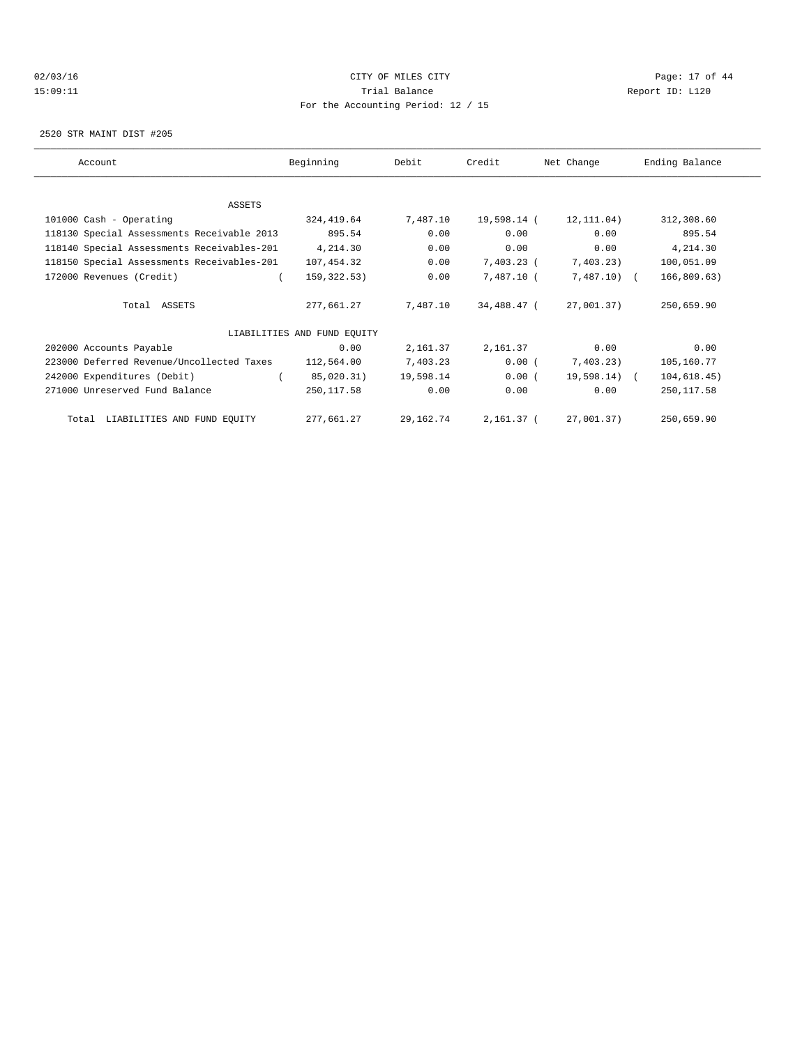# $O2/03/16$  Page: 17 of 44 15:09:11 Trial Balance Report ID: L120 For the Accounting Period: 12 / 15

2520 STR MAINT DIST #205

| Account |                                            | Beginning                   | Debit     | Credit      | Net Change      | Ending Balance |  |
|---------|--------------------------------------------|-----------------------------|-----------|-------------|-----------------|----------------|--|
|         |                                            |                             |           |             |                 |                |  |
|         | ASSETS                                     |                             |           |             |                 |                |  |
|         | 101000 Cash - Operating                    | 324,419.64                  | 7,487.10  | 19,598.14 ( | 12,111.04)      | 312,308.60     |  |
|         | 118130 Special Assessments Receivable 2013 | 895.54                      | 0.00      | 0.00        | 0.00            | 895.54         |  |
|         | 118140 Special Assessments Receivables-201 | 4,214.30                    | 0.00      | 0.00        | 0.00            | 4,214.30       |  |
|         | 118150 Special Assessments Receivables-201 | 107,454.32                  | 0.00      | 7,403.23 (  | 7,403.23)       | 100,051.09     |  |
|         | 172000 Revenues (Credit)                   | 159,322.53)                 | 0.00      | 7,487.10 (  | $7,487.10$ (    | 166,809.63)    |  |
|         | Total ASSETS                               | 277,661.27                  | 7,487.10  | 34,488.47 ( | 27,001.37)      | 250,659.90     |  |
|         |                                            | LIABILITIES AND FUND EQUITY |           |             |                 |                |  |
|         | 202000 Accounts Payable                    | 0.00                        | 2,161.37  | 2,161.37    | 0.00            | 0.00           |  |
|         | 223000 Deferred Revenue/Uncollected Taxes  | 112,564.00                  | 7,403.23  | 0.00(       | 7,403.23)       | 105,160.77     |  |
|         | 242000 Expenditures (Debit)                | 85,020.31)                  | 19,598.14 | 0.00(       | $19,598.14$ ) ( | 104, 618.45)   |  |
|         | 271000 Unreserved Fund Balance             | 250,117.58                  | 0.00      | 0.00        | 0.00            | 250, 117.58    |  |
|         | Total LIABILITIES AND FUND EQUITY          | 277,661.27                  | 29,162.74 | 2,161.37 (  | 27,001.37)      | 250,659.90     |  |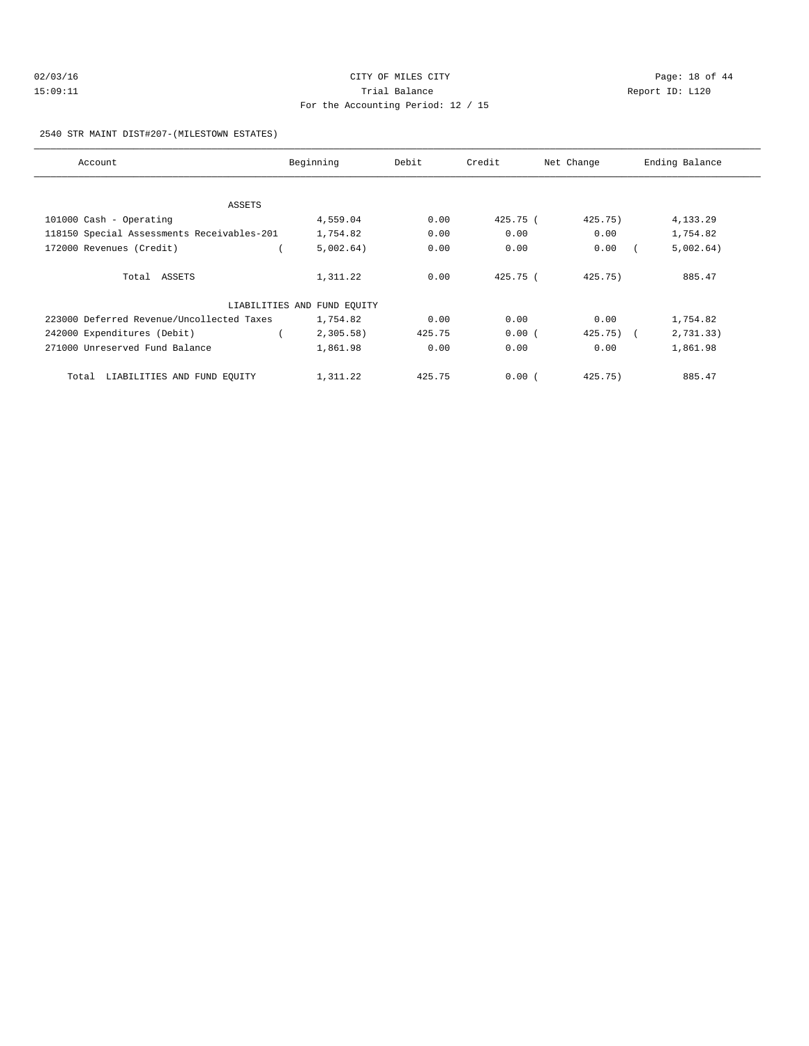| 02/03/16 | CITY OF MILES CITY                 | Page: 18 of 44  |  |  |  |  |  |  |
|----------|------------------------------------|-----------------|--|--|--|--|--|--|
| 15:09:11 | Trial Balance                      | Report ID: L120 |  |  |  |  |  |  |
|          | For the Accounting Period: 12 / 15 |                 |  |  |  |  |  |  |

2540 STR MAINT DIST#207-(MILESTOWN ESTATES)

| Account                                    | Beginning                   | Debit  | Credit     | Net Change   | Ending Balance |
|--------------------------------------------|-----------------------------|--------|------------|--------------|----------------|
| ASSETS                                     |                             |        |            |              |                |
| 101000 Cash - Operating                    | 4,559.04                    | 0.00   | 425.75 (   | 425.75)      | 4,133.29       |
| 118150 Special Assessments Receivables-201 | 1,754.82                    | 0.00   | 0.00       | 0.00         | 1,754.82       |
| 172000 Revenues (Credit)                   | 5,002.64)                   | 0.00   | 0.00       | 0.00         | 5,002.64)      |
| Total ASSETS                               | 1,311.22                    | 0.00   | $425.75$ ( | $425.75$ )   | 885.47         |
|                                            | LIABILITIES AND FUND EQUITY |        |            |              |                |
| 223000 Deferred Revenue/Uncollected Taxes  | 1,754.82                    | 0.00   | 0.00       | 0.00         | 1,754.82       |
| 242000 Expenditures (Debit)                | $2,305.58$ )                | 425.75 | 0.00(      | $425.75$ ) ( | 2,731.33)      |
| 271000 Unreserved Fund Balance             | 1,861.98                    | 0.00   | 0.00       | 0.00         | 1,861.98       |
| Total LIABILITIES AND FUND EQUITY          | 1,311.22                    | 425.75 | 0.00(      | 425.75)      | 885.47         |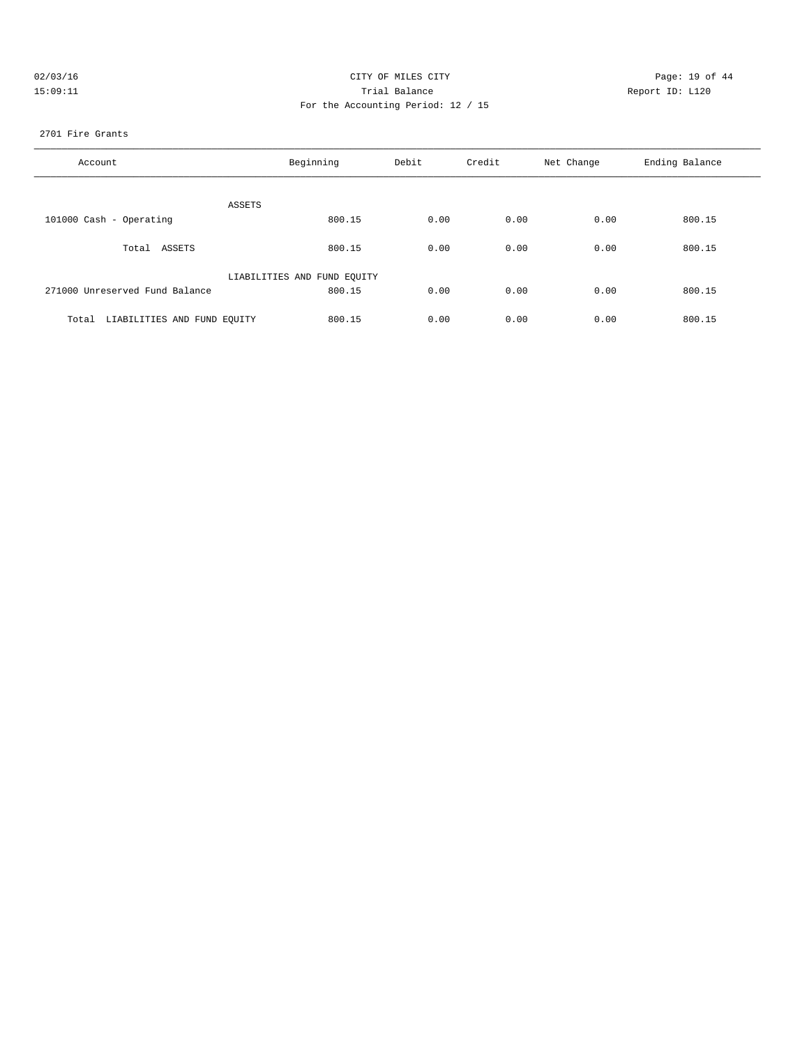| 02/03/16 | CITY OF MILES CITY                 | Page: 19 of 44  |
|----------|------------------------------------|-----------------|
| 15:09:11 | Trial Balance                      | Report ID: L120 |
|          | For the Accounting Period: 12 / 15 |                 |

2701 Fire Grants

| Account                              | Beginning                   | Debit | Credit | Net Change | Ending Balance |
|--------------------------------------|-----------------------------|-------|--------|------------|----------------|
| ASSETS                               |                             |       |        |            |                |
| 101000 Cash - Operating              | 800.15                      | 0.00  | 0.00   | 0.00       | 800.15         |
| Total ASSETS                         | 800.15                      | 0.00  | 0.00   | 0.00       | 800.15         |
|                                      | LIABILITIES AND FUND EQUITY |       |        |            |                |
| 271000 Unreserved Fund Balance       | 800.15                      | 0.00  | 0.00   | 0.00       | 800.15         |
| LIABILITIES AND FUND EQUITY<br>Total | 800.15                      | 0.00  | 0.00   | 0.00       | 800.15         |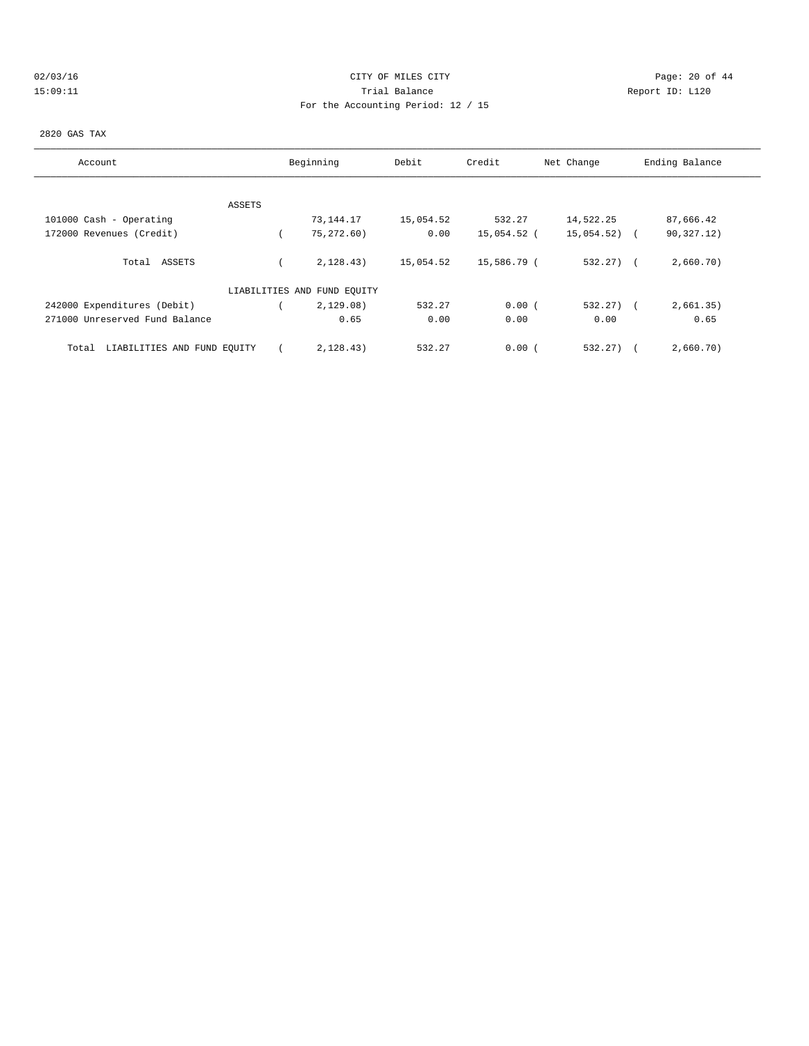# $O2/03/16$  Page: 20 of 44 15:09:11 Trial Balance Report ID: L120 For the Accounting Period: 12 / 15

#### 2820 GAS TAX

| Account                              |        | Beginning                   | Debit     | Credit      | Net Change   | Ending Balance |
|--------------------------------------|--------|-----------------------------|-----------|-------------|--------------|----------------|
|                                      |        |                             |           |             |              |                |
|                                      | ASSETS |                             |           |             |              |                |
| 101000 Cash - Operating              |        | 73,144.17                   | 15,054.52 | 532.27      | 14,522.25    | 87,666.42      |
| 172000 Revenues (Credit)             |        | 75,272.60)                  | 0.00      | 15,054.52 ( | 15,054.52)   | 90,327.12)     |
| Total ASSETS                         |        | 2,128.43)                   | 15,054.52 | 15,586.79 ( | $532.27$ ) ( | 2,660.70)      |
|                                      |        | LIABILITIES AND FUND EQUITY |           |             |              |                |
| 242000 Expenditures (Debit)          |        | 2,129.08)                   | 532.27    | 0.00(       | $532.27$ ) ( | 2,661.35)      |
| 271000 Unreserved Fund Balance       |        | 0.65                        | 0.00      | 0.00        | 0.00         | 0.65           |
| LIABILITIES AND FUND EOUITY<br>Total |        | 2.128.43)                   | 532.27    | 0.00(       | 532.27)      | 2,660.70)      |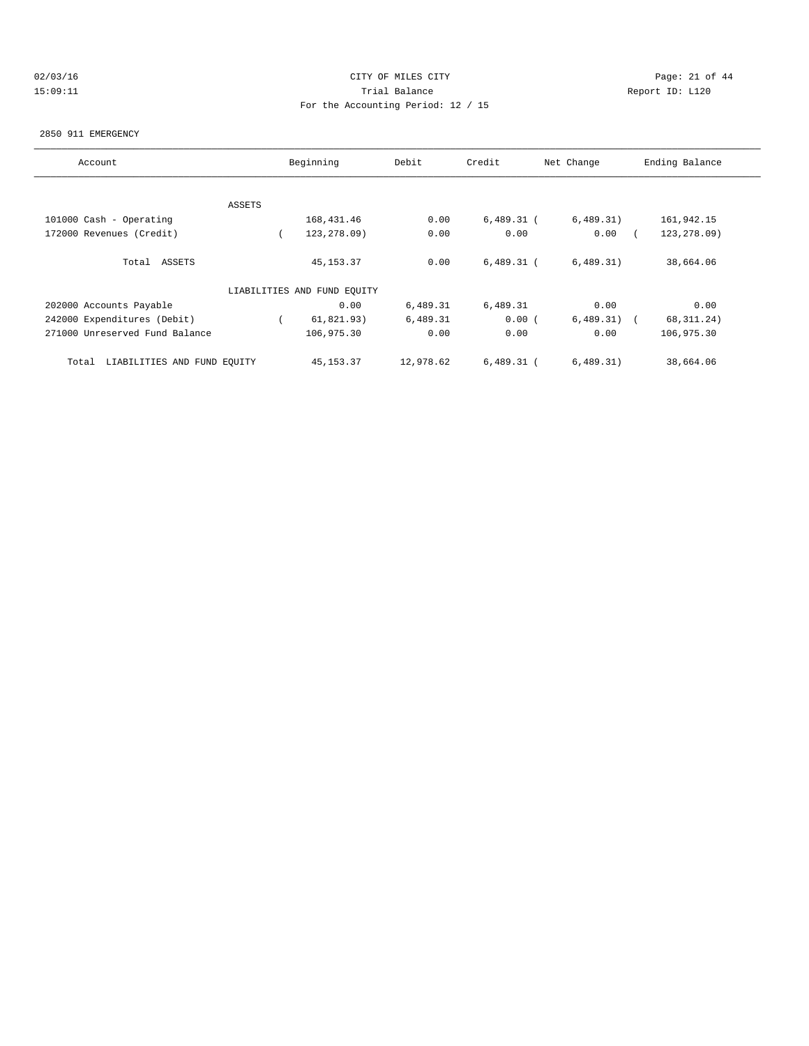# $O2/03/16$  Page: 21 of 44 15:09:11 Trial Balance Report ID: L120 For the Accounting Period: 12 / 15

#### 2850 911 EMERGENCY

| Account                              | Beginning |                             | Debit     | Credit<br>Net Change |           | Ending Balance |
|--------------------------------------|-----------|-----------------------------|-----------|----------------------|-----------|----------------|
|                                      |           |                             |           |                      |           |                |
|                                      | ASSETS    |                             |           |                      |           |                |
| 101000 Cash - Operating              |           | 168,431.46                  | 0.00      | $6,489.31$ (         | 6,489.31) | 161,942.15     |
| 172000 Revenues (Credit)             |           | 123,278.09)                 | 0.00      | 0.00                 | 0.00      | 123, 278.09)   |
| Total ASSETS                         |           | 45, 153. 37                 | 0.00      | $6,489.31$ (         | 6,489.31) | 38,664.06      |
|                                      |           | LIABILITIES AND FUND EQUITY |           |                      |           |                |
| 202000 Accounts Payable              |           | 0.00                        | 6,489.31  | 6,489.31             | 0.00      | 0.00           |
| 242000 Expenditures (Debit)          |           | 61,821.93)                  | 6,489.31  | 0.00(                | 6,489.31) | 68, 311. 24)   |
| 271000 Unreserved Fund Balance       |           | 106,975.30                  | 0.00      | 0.00                 | 0.00      | 106,975.30     |
| LIABILITIES AND FUND EQUITY<br>Total |           | 45, 153. 37                 | 12,978.62 | $6,489.31$ (         | 6,489.31) | 38,664.06      |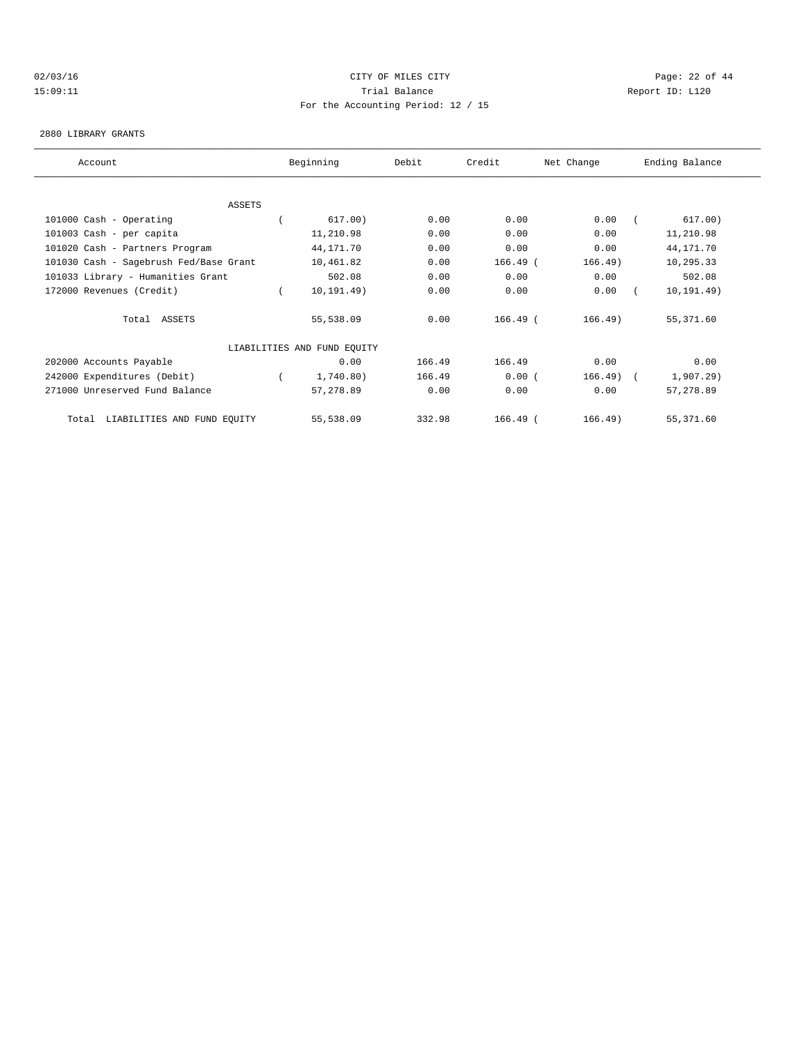# $O2/03/16$  Page: 22 of 44 15:09:11 Trial Balance Report ID: L120 For the Accounting Period: 12 / 15

#### 2880 LIBRARY GRANTS

| Account                                |  | Beginning                   | Debit  | Credit     | Net Change | Ending Balance |             |  |  |
|----------------------------------------|--|-----------------------------|--------|------------|------------|----------------|-------------|--|--|
|                                        |  |                             |        |            |            |                |             |  |  |
| <b>ASSETS</b>                          |  |                             |        |            |            |                |             |  |  |
| 101000 Cash - Operating                |  | 617.00)                     | 0.00   | 0.00       | 0.00       |                | 617.00)     |  |  |
| 101003 Cash - per capita               |  | 11,210.98                   | 0.00   | 0.00       | 0.00       |                | 11,210.98   |  |  |
| 101020 Cash - Partners Program         |  | 44,171.70                   | 0.00   | 0.00       | 0.00       |                | 44,171.70   |  |  |
| 101030 Cash - Sagebrush Fed/Base Grant |  | 10,461.82                   | 0.00   | $166.49$ ( | 166.49)    |                | 10,295.33   |  |  |
| 101033 Library - Humanities Grant      |  | 502.08                      | 0.00   | 0.00       | 0.00       |                | 502.08      |  |  |
| 172000 Revenues (Credit)               |  | 10, 191.49)                 | 0.00   | 0.00       | 0.00       |                | 10, 191.49) |  |  |
| Total ASSETS                           |  | 55,538.09                   | 0.00   | $166.49$ ( | 166.49)    |                | 55,371.60   |  |  |
|                                        |  | LIABILITIES AND FUND EQUITY |        |            |            |                |             |  |  |
| 202000 Accounts Payable                |  | 0.00                        | 166.49 | 166.49     | 0.00       |                | 0.00        |  |  |
| 242000 Expenditures (Debit)            |  | 1,740.80)                   | 166.49 | 0.00(      | 166.49)    | $\sqrt{2}$     | 1,907.29)   |  |  |
| 271000 Unreserved Fund Balance         |  | 57,278.89                   | 0.00   | 0.00       | 0.00       |                | 57,278.89   |  |  |
| LIABILITIES AND FUND EQUITY<br>Total   |  | 55,538.09                   | 332.98 | $166.49$ ( | 166.49)    |                | 55,371.60   |  |  |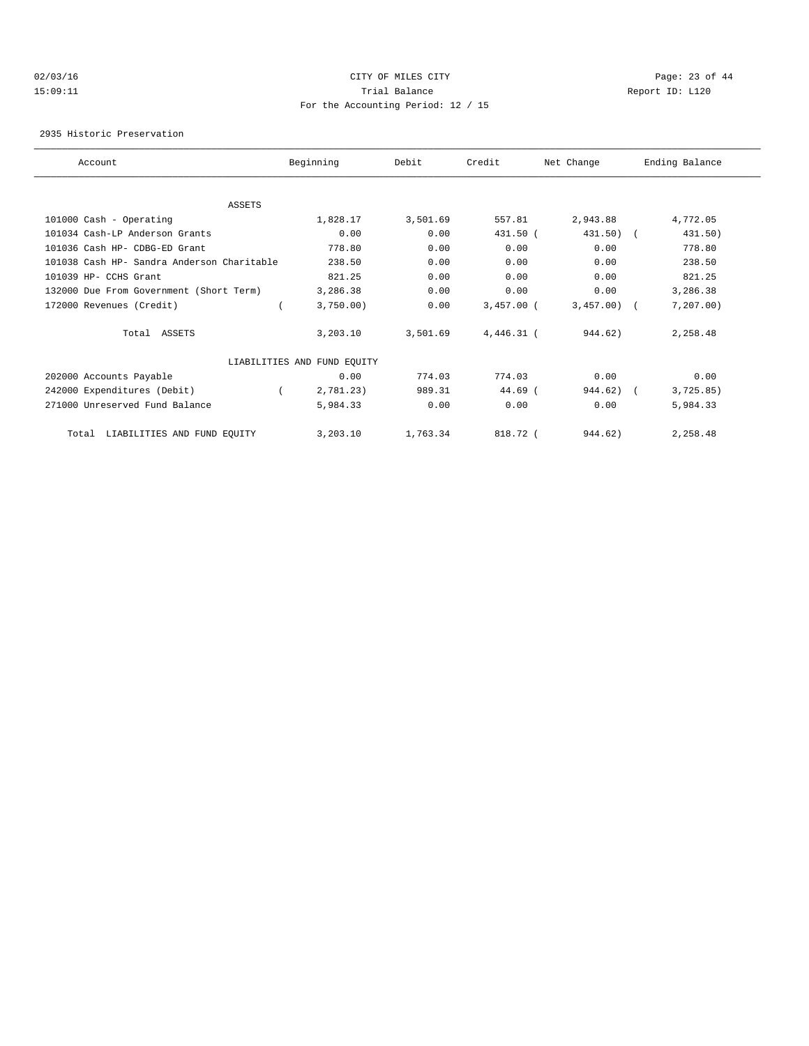# $O2/03/16$  Page: 23 of 44 15:09:11 Trial Balance Report ID: L120 For the Accounting Period: 12 / 15

2935 Historic Preservation

| Account                                    | Beginning                   | Debit    | Credit       | Net Change   | Ending Balance |
|--------------------------------------------|-----------------------------|----------|--------------|--------------|----------------|
|                                            |                             |          |              |              |                |
| <b>ASSETS</b>                              |                             |          |              |              |                |
| 101000 Cash - Operating                    | 1,828.17                    | 3,501.69 | 557.81       | 2,943.88     | 4,772.05       |
| 101034 Cash-LP Anderson Grants             | 0.00                        | 0.00     | 431.50 (     | $431.50$ ) ( | 431.50)        |
| 101036 Cash HP- CDBG-ED Grant              | 778.80                      | 0.00     | 0.00         | 0.00         | 778.80         |
| 101038 Cash HP- Sandra Anderson Charitable | 238.50                      | 0.00     | 0.00         | 0.00         | 238.50         |
| 101039 HP- CCHS Grant                      | 821.25                      | 0.00     | 0.00         | 0.00         | 821.25         |
| 132000 Due From Government (Short Term)    | 3,286.38                    | 0.00     | 0.00         | 0.00         | 3,286.38       |
| 172000 Revenues (Credit)                   | 3,750.00                    | 0.00     | $3.457.00$ ( | $3,457.00$ ( | 7, 207.00      |
| Total ASSETS                               | 3.203.10                    | 3,501.69 | $4.446.31$ ( | 944.62)      | 2,258.48       |
|                                            | LIABILITIES AND FUND EQUITY |          |              |              |                |
| 202000 Accounts Payable                    | 0.00                        | 774.03   | 774.03       | 0.00         | 0.00           |
| 242000 Expenditures (Debit)                | 2,781.23)                   | 989.31   | $44.69$ (    | 944.62)      | 3,725.85)      |
| 271000 Unreserved Fund Balance             | 5,984.33                    | 0.00     | 0.00         | 0.00         | 5,984.33       |
| LIABILITIES AND FUND EQUITY<br>Total       | 3,203.10                    | 1,763.34 | 818.72 (     | 944.62)      | 2,258.48       |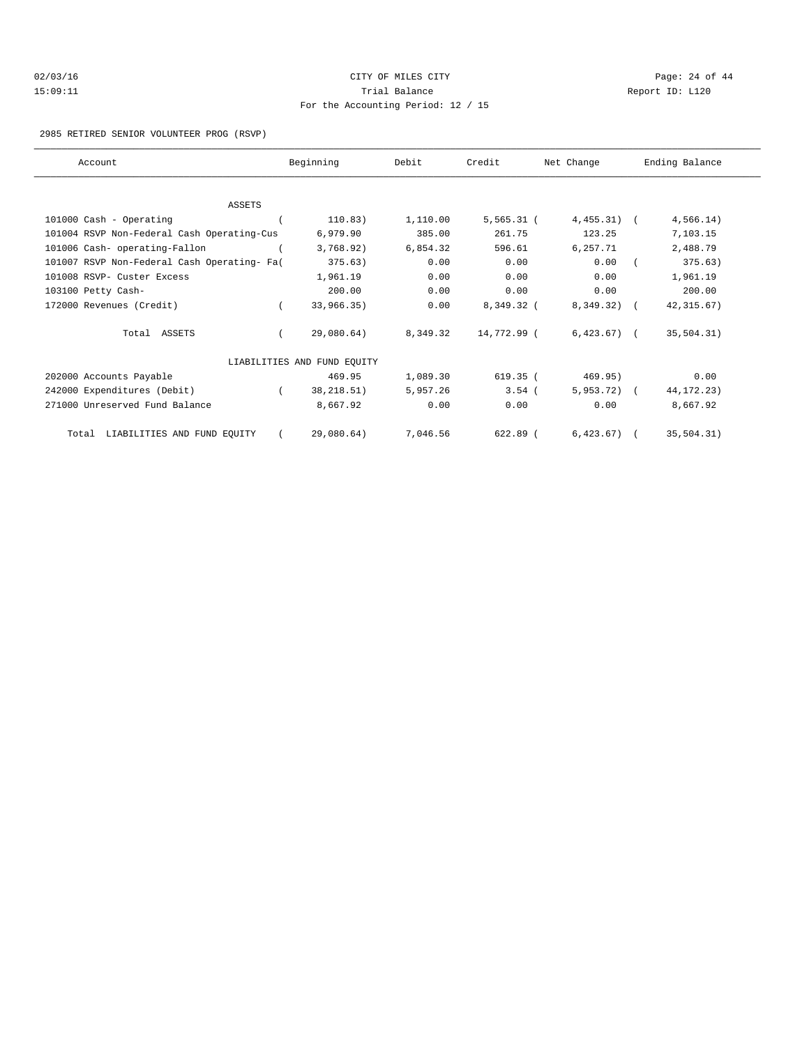| 02/03/16 | CITY OF MILES CITY                 | Page: $24$ of $44$ |
|----------|------------------------------------|--------------------|
| 15:09:11 | Trial Balance                      | Report ID: L120    |
|          | For the Accounting Period: 12 / 15 |                    |

#### 2985 RETIRED SENIOR VOLUNTEER PROG (RSVP)

| Account                                     | Beginning                   | Debit    | Credit       | Net Change   | Ending Balance |  |
|---------------------------------------------|-----------------------------|----------|--------------|--------------|----------------|--|
|                                             |                             |          |              |              |                |  |
| ASSETS                                      |                             |          |              |              |                |  |
| 101000 Cash - Operating                     | 110.83)                     | 1,110.00 | $5,565.31$ ( | $4,455.31$ ( | 4,566.14)      |  |
| 101004 RSVP Non-Federal Cash Operating-Cus  | 6,979.90                    | 385.00   | 261.75       | 123.25       | 7,103.15       |  |
| 101006 Cash- operating-Fallon               | 3,768.92)                   | 6,854.32 | 596.61       | 6,257.71     | 2,488.79       |  |
| 101007 RSVP Non-Federal Cash Operating- Fa( | 375.63)                     | 0.00     | 0.00         | 0.00         | 375.63)        |  |
| 101008 RSVP- Custer Excess                  | 1,961.19                    | 0.00     | 0.00         | 0.00         | 1,961.19       |  |
| 103100 Petty Cash-                          | 200.00                      | 0.00     | 0.00         | 0.00         | 200.00         |  |
| 172000 Revenues (Credit)                    | 33,966.35)                  | 0.00     | 8,349.32 (   | 8,349.32) (  | 42, 315.67)    |  |
| Total ASSETS                                | 29,080.64)                  | 8,349.32 | 14,772.99 (  | $6,423.67$ ( | 35,504.31)     |  |
|                                             | LIABILITIES AND FUND EQUITY |          |              |              |                |  |
| 202000 Accounts Payable                     | 469.95                      | 1,089.30 | 619.35 (     | 469.95)      | 0.00           |  |
| 242000 Expenditures (Debit)                 | 38, 218.51)                 | 5,957.26 | $3.54$ (     | $5,953.72$ ( | 44, 172. 23)   |  |
| 271000 Unreserved Fund Balance              | 8,667.92                    | 0.00     | 0.00         | 0.00         | 8,667.92       |  |
| Total LIABILITIES AND FUND EQUITY           | 29,080.64)                  | 7,046.56 | 622.89 (     | $6,423.67$ ( | 35, 504.31)    |  |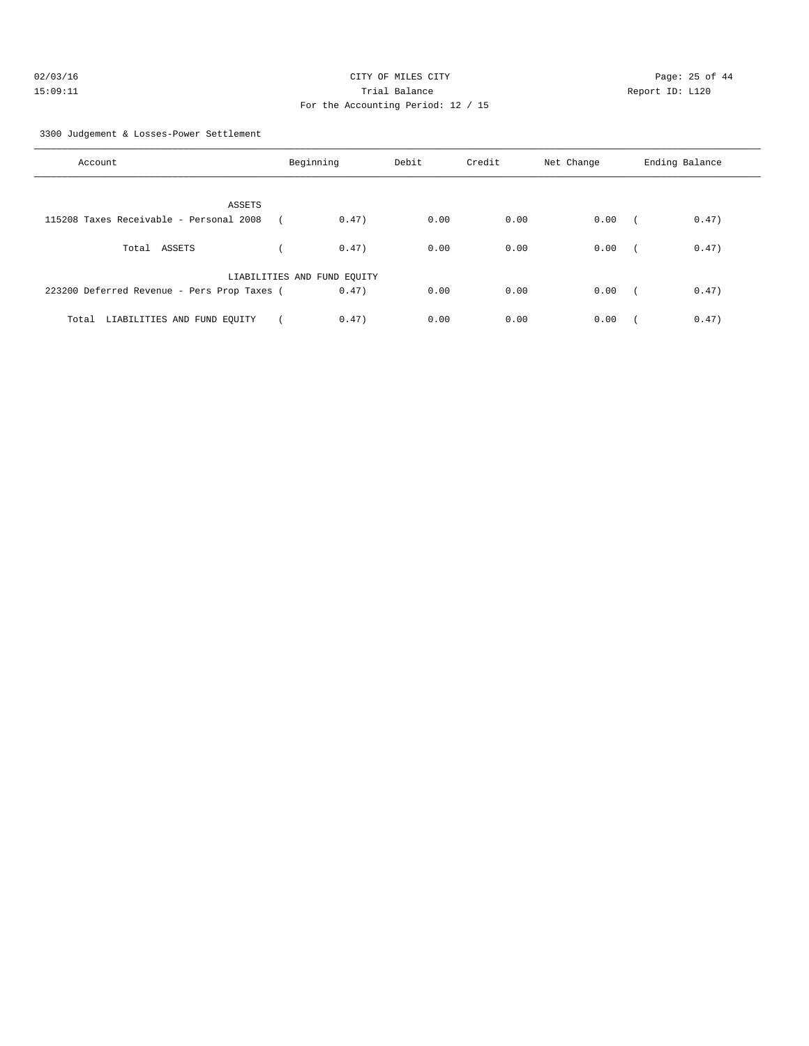| 02/03/16 | CITY OF MILES CITY                 |  |
|----------|------------------------------------|--|
| 15:09:11 | Trial Balance                      |  |
|          | For the Accounting Period: 12 / 15 |  |

Page: 25 of 44 Report ID: L120

3300 Judgement & Losses-Power Settlement

| Account                                                  | Beginning                   | Debit         | Credit | Net Change | Ending Balance      |
|----------------------------------------------------------|-----------------------------|---------------|--------|------------|---------------------|
| <b>ASSETS</b><br>115208 Taxes Receivable - Personal 2008 |                             | 0.47)<br>0.00 | 0.00   | 0.00       | 0.47)<br>$\sqrt{2}$ |
| Total ASSETS                                             |                             | 0.00<br>0.47  | 0.00   | 0.00       | 0.47)               |
| 223200 Deferred Revenue - Pers Prop Taxes (              | LIABILITIES AND FUND EQUITY | 0.47)<br>0.00 | 0.00   | 0.00       | 0.47)<br>$\sqrt{2}$ |
| Total LIABILITIES AND FUND EQUITY                        |                             | 0.47)<br>0.00 | 0.00   | 0.00       | 0.47)               |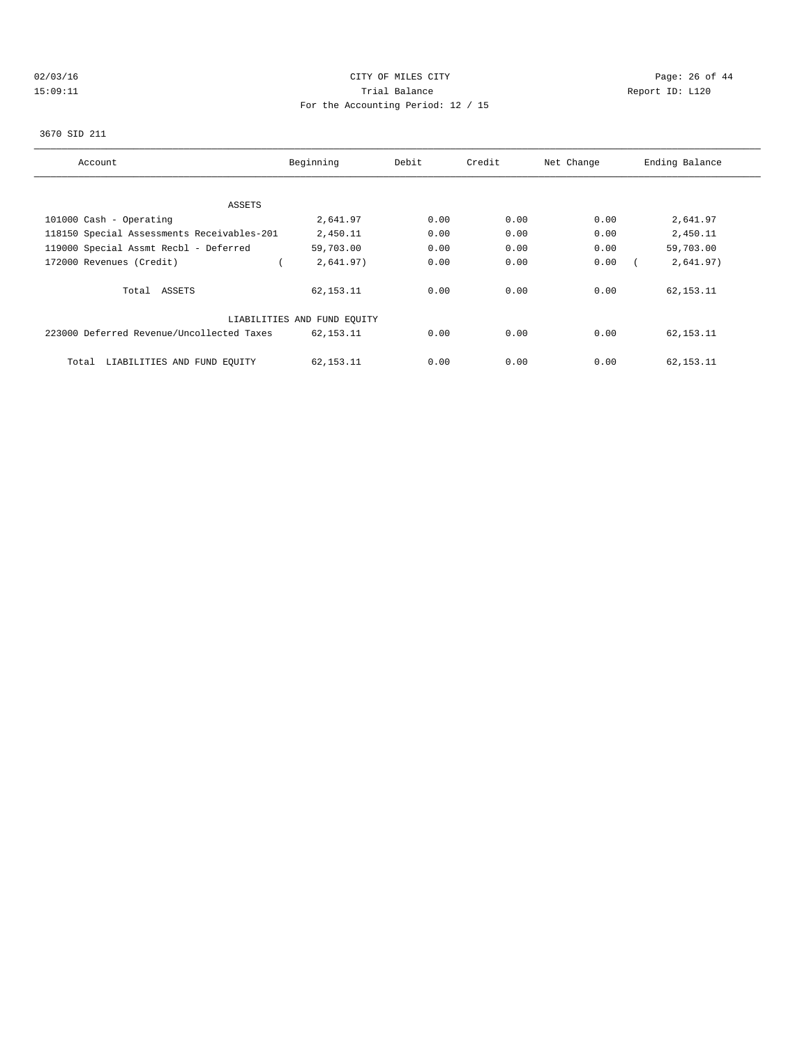# $O2/03/16$  Page: 26 of 44 15:09:11 Trial Balance Report ID: L120 For the Accounting Period: 12 / 15

#### 3670 SID 211

| Account                                    | Beginning                   | Debit | Credit | Net Change | Ending Balance |
|--------------------------------------------|-----------------------------|-------|--------|------------|----------------|
|                                            |                             |       |        |            |                |
| ASSETS                                     |                             |       |        |            |                |
| 101000 Cash - Operating                    | 2,641.97                    | 0.00  | 0.00   | 0.00       | 2,641.97       |
| 118150 Special Assessments Receivables-201 | 2,450.11                    | 0.00  | 0.00   | 0.00       | 2,450.11       |
| 119000 Special Assmt Recbl - Deferred      | 59,703.00                   | 0.00  | 0.00   | 0.00       | 59,703.00      |
| 172000 Revenues (Credit)                   | 2,641.97)                   | 0.00  | 0.00   | 0.00       | 2,641.97)      |
| Total ASSETS                               | 62, 153. 11                 | 0.00  | 0.00   | 0.00       | 62, 153. 11    |
|                                            | LIABILITIES AND FUND EQUITY |       |        |            |                |
| 223000 Deferred Revenue/Uncollected Taxes  | 62, 153. 11                 | 0.00  | 0.00   | 0.00       | 62, 153. 11    |
| Total<br>LIABILITIES AND FUND EQUITY       | 62, 153. 11                 | 0.00  | 0.00   | 0.00       | 62, 153. 11    |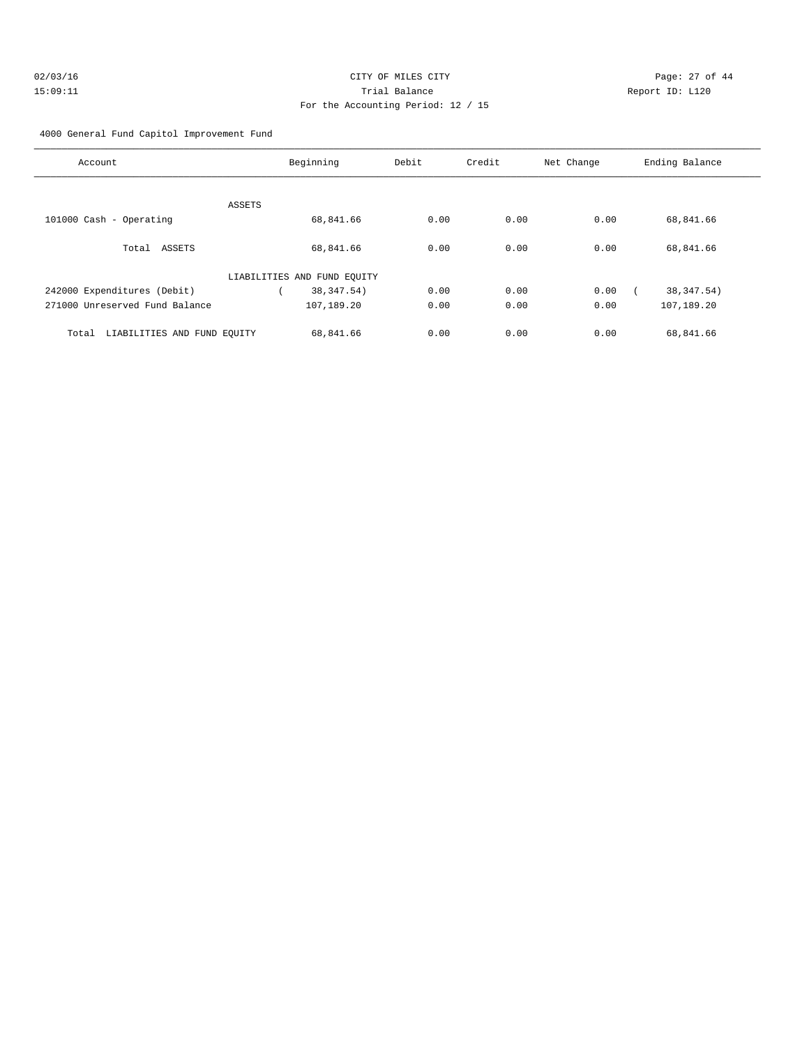#### 4000 General Fund Capitol Improvement Fund

| Account                              | Beginning                   | Debit | Credit | Net Change | Ending Balance |
|--------------------------------------|-----------------------------|-------|--------|------------|----------------|
|                                      |                             |       |        |            |                |
| ASSETS                               |                             |       |        |            |                |
| 101000 Cash - Operating              | 68,841.66                   | 0.00  | 0.00   | 0.00       | 68,841.66      |
| Total ASSETS                         | 68,841.66                   | 0.00  | 0.00   | 0.00       | 68,841.66      |
|                                      | LIABILITIES AND FUND EQUITY |       |        |            |                |
| 242000 Expenditures (Debit)          | 38, 347.54)                 | 0.00  | 0.00   | 0.00       | 38, 347.54)    |
| 271000 Unreserved Fund Balance       | 107,189.20                  | 0.00  | 0.00   | 0.00       | 107,189.20     |
| LIABILITIES AND FUND EQUITY<br>Total | 68,841.66                   | 0.00  | 0.00   | 0.00       | 68,841.66      |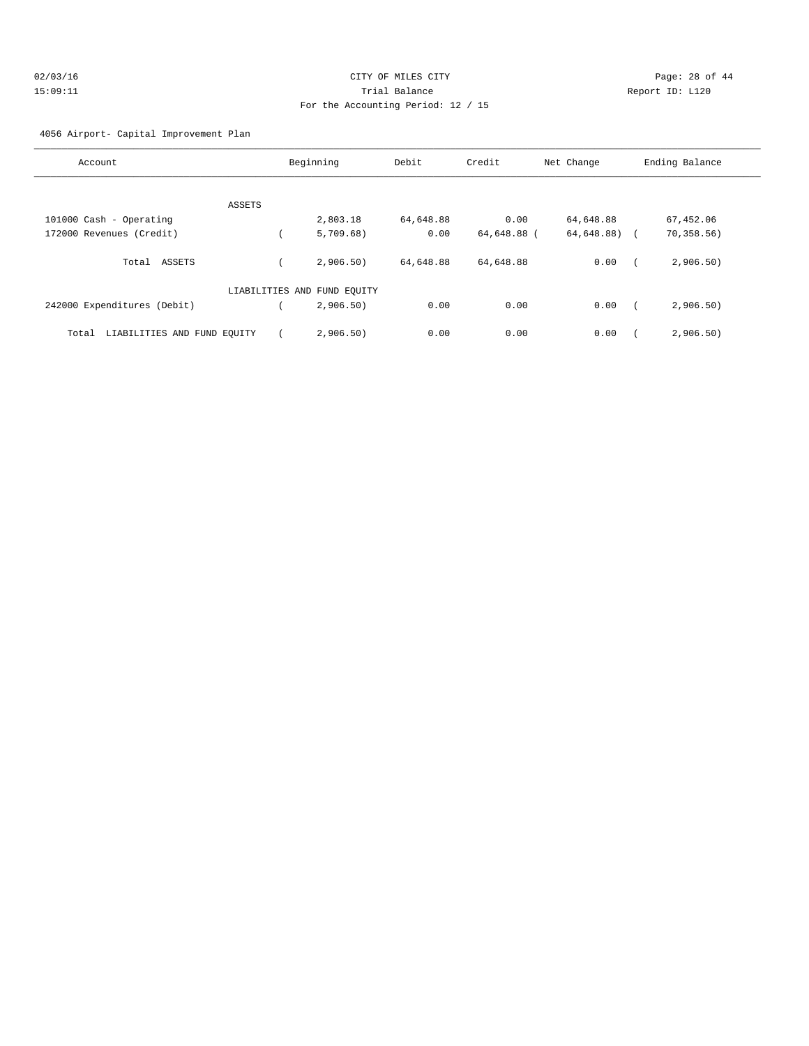| 02/03/16 | CITY OF MILES CITY                 | Page: 28 of 44  |
|----------|------------------------------------|-----------------|
| 15:09:11 | Trial Balance                      | Report ID: L120 |
|          | For the Accounting Period: 12 / 15 |                 |

4056 Airport- Capital Improvement Plan

| Account                              |        | Beginning                   | Debit     | Credit      | Net Change | Ending Balance       |
|--------------------------------------|--------|-----------------------------|-----------|-------------|------------|----------------------|
|                                      | ASSETS |                             |           |             |            |                      |
| 101000 Cash - Operating              |        | 2,803.18                    | 64,648.88 | 0.00        | 64,648.88  | 67,452.06            |
| 172000 Revenues (Credit)             |        | 5,709.68)                   | 0.00      | 64,648.88 ( | 64,648.88) | 70,358.56)<br>$\sim$ |
| ASSETS<br>Total                      |        | 2,906.50)                   | 64,648.88 | 64,648.88   | 0.00       | 2,906.50)            |
|                                      |        | LIABILITIES AND FUND EOUITY |           |             |            |                      |
| 242000 Expenditures (Debit)          |        | 2,906.50)                   | 0.00      | 0.00        | 0.00       | 2,906.50)            |
| LIABILITIES AND FUND EQUITY<br>Total |        | 2,906.50)                   | 0.00      | 0.00        | 0.00       | 2,906.50)            |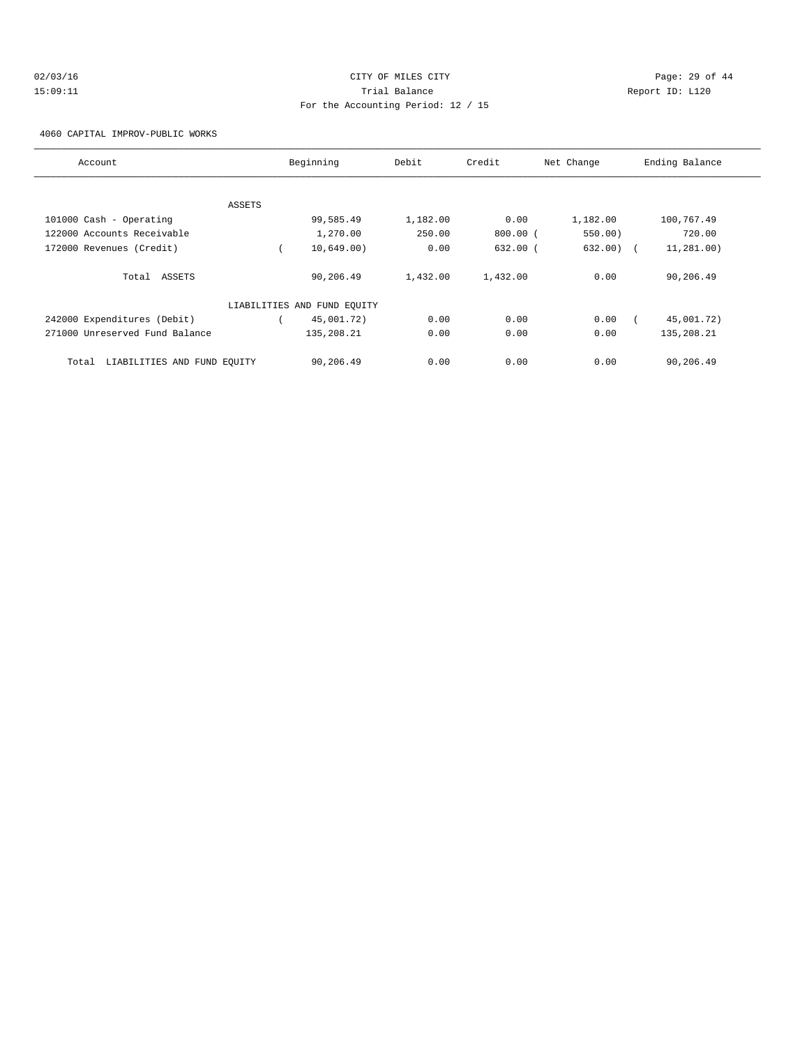# $O2/03/16$  Page: 29 of 44 15:09:11 Trial Balance Report ID: L120 For the Accounting Period: 12 / 15

4060 CAPITAL IMPROV-PUBLIC WORKS

| Account                              | Beginning                   | Debit    | Credit       | Net Change | Ending Balance |
|--------------------------------------|-----------------------------|----------|--------------|------------|----------------|
|                                      |                             |          |              |            |                |
| ASSETS                               |                             |          |              |            |                |
| 101000 Cash - Operating              | 99,585.49                   | 1,182.00 | 0.00         | 1,182.00   | 100,767.49     |
| 122000 Accounts Receivable           | 1,270.00                    | 250.00   | $800.00$ (   | 550.00)    | 720.00         |
| 172000 Revenues (Credit)             | 10,649.00)                  | 0.00     | $632.00$ $($ | 632.00)    | 11, 281, 00)   |
| Total ASSETS                         | 90,206.49                   | 1,432.00 | 1,432.00     | 0.00       | 90,206.49      |
|                                      | LIABILITIES AND FUND EQUITY |          |              |            |                |
| 242000 Expenditures (Debit)          | 45,001.72)                  | 0.00     | 0.00         | 0.00       | 45,001.72)     |
| 271000 Unreserved Fund Balance       | 135,208.21                  | 0.00     | 0.00         | 0.00       | 135,208.21     |
| LIABILITIES AND FUND EQUITY<br>Total | 90,206.49                   | 0.00     | 0.00         | 0.00       | 90,206.49      |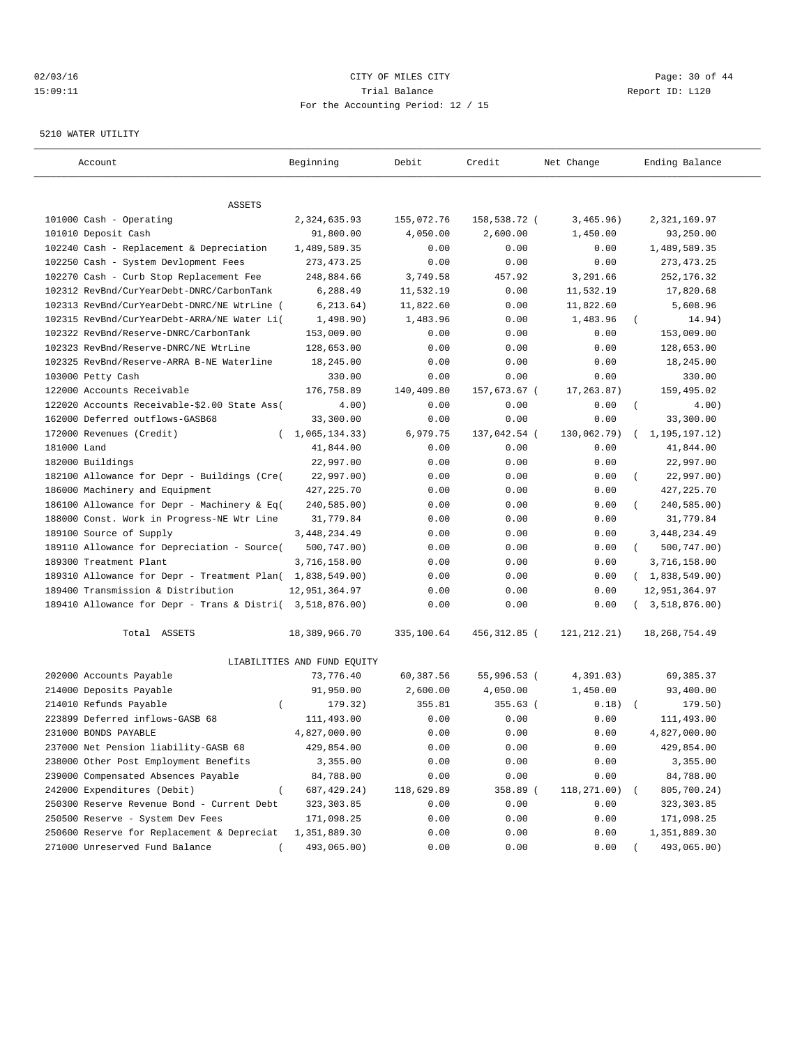#### $O2/03/16$  Page: 30 of 44 15:09:11 Trial Balance Report ID: L120 For the Accounting Period: 12 / 15

#### 5210 WATER UTILITY

| Account                                                   | Beginning                   | Debit      | Credit       | Net Change  | Ending Balance          |
|-----------------------------------------------------------|-----------------------------|------------|--------------|-------------|-------------------------|
|                                                           |                             |            |              |             |                         |
| ASSETS                                                    |                             |            |              |             |                         |
| 101000 Cash - Operating                                   | 2,324,635.93                | 155,072.76 | 158,538.72 ( | 3,465.96)   | 2,321,169.97            |
| 101010 Deposit Cash                                       | 91,800.00                   | 4,050.00   | 2,600.00     | 1,450.00    | 93,250.00               |
| 102240 Cash - Replacement & Depreciation                  | 1,489,589.35                | 0.00       | 0.00         | 0.00        | 1,489,589.35            |
| 102250 Cash - System Devlopment Fees                      | 273, 473. 25                | 0.00       | 0.00         | 0.00        | 273, 473. 25            |
| 102270 Cash - Curb Stop Replacement Fee                   | 248,884.66                  | 3,749.58   | 457.92       | 3,291.66    | 252, 176.32             |
| 102312 RevBnd/CurYearDebt-DNRC/CarbonTank                 | 6,288.49                    | 11,532.19  | 0.00         | 11,532.19   | 17,820.68               |
| 102313 RevBnd/CurYearDebt-DNRC/NE WtrLine (               | 6, 213.64)                  | 11,822.60  | 0.00         | 11,822.60   | 5,608.96                |
| 102315 RevBnd/CurYearDebt-ARRA/NE Water Li(               | 1,498.90)                   | 1,483.96   | 0.00         | 1,483.96    | 14.94)                  |
| 102322 RevBnd/Reserve-DNRC/CarbonTank                     | 153,009.00                  | 0.00       | 0.00         | 0.00        | 153,009.00              |
| 102323 RevBnd/Reserve-DNRC/NE WtrLine                     | 128,653.00                  | 0.00       | 0.00         | 0.00        | 128,653.00              |
| 102325 RevBnd/Reserve-ARRA B-NE Waterline                 | 18,245.00                   | 0.00       | 0.00         | 0.00        | 18,245.00               |
| 103000 Petty Cash                                         | 330.00                      | 0.00       | 0.00         | 0.00        | 330.00                  |
| 122000 Accounts Receivable                                | 176,758.89                  | 140,409.80 | 157,673.67 ( | 17,263.87)  | 159,495.02              |
| 122020 Accounts Receivable-\$2.00 State Ass(              | 4.00)                       | 0.00       | 0.00         | 0.00        | $\left($<br>4.00)       |
| 162000 Deferred outflows-GASB68                           | 33,300.00                   | 0.00       | 0.00         | 0.00        | 33,300.00               |
| 172000 Revenues (Credit)<br>$\left($                      | 1,065,134.33)               | 6,979.75   | 137,042.54 ( | 130,062.79) | 1,195,197.12)           |
| 181000 Land                                               | 41,844.00                   | 0.00       | 0.00         | 0.00        | 41,844.00               |
| 182000 Buildings                                          | 22,997.00                   | 0.00       | 0.00         | 0.00        | 22,997.00               |
| 182100 Allowance for Depr - Buildings (Cre(               | 22,997.00)                  | 0.00       | 0.00         | 0.00        | 22,997.00)              |
| 186000 Machinery and Equipment                            | 427, 225.70                 | 0.00       | 0.00         | 0.00        | 427, 225.70             |
| 186100 Allowance for Depr - Machinery & Eq(               | 240,585.00)                 | 0.00       | 0.00         | 0.00        | 240,585.00)             |
| 188000 Const. Work in Progress-NE Wtr Line                | 31,779.84                   | 0.00       | 0.00         | 0.00        | 31,779.84               |
| 189100 Source of Supply                                   | 3, 448, 234.49              | 0.00       | 0.00         | 0.00        | 3, 448, 234.49          |
| 189110 Allowance for Depreciation - Source(               | 500,747.00)                 | 0.00       | 0.00         | 0.00        | 500,747.00)<br>$\left($ |
| 189300 Treatment Plant                                    | 3,716,158.00                | 0.00       | 0.00         | 0.00        | 3,716,158.00            |
| 189310 Allowance for Depr - Treatment Plan( 1,838,549.00) |                             | 0.00       | 0.00         | 0.00        | (1,838,549.00)          |
| 189400 Transmission & Distribution                        | 12,951,364.97               | 0.00       | 0.00         | 0.00        | 12,951,364.97           |
| 189410 Allowance for Depr - Trans & Distri( 3,518,876.00) |                             | 0.00       | 0.00         | 0.00        | 3,518,876.00)           |
| Total ASSETS                                              | 18,389,966.70               | 335,100.64 | 456,312.85 ( | 121,212.21) | 18, 268, 754.49         |
|                                                           | LIABILITIES AND FUND EQUITY |            |              |             |                         |
| 202000 Accounts Payable                                   | 73,776.40                   | 60,387.56  | 55,996.53 (  | 4,391.03)   | 69,385.37               |
| 214000 Deposits Payable                                   | 91,950.00                   | 2,600.00   | 4,050.00     | 1,450.00    | 93,400.00               |
| 214010 Refunds Payable                                    | 179.32)                     | 355.81     | $355.63$ (   | 0.18)       | 179.50)                 |
| 223899 Deferred inflows-GASB 68                           | 111,493.00                  | 0.00       | 0.00         | 0.00        | 111,493.00              |
| 231000 BONDS PAYABLE                                      | 4,827,000.00                | 0.00       | 0.00         | 0.00        | 4,827,000.00            |
| 237000 Net Pension liability-GASB 68                      | 429,854.00                  | 0.00       | 0.00         | 0.00        | 429,854.00              |
| 238000 Other Post Employment Benefits                     | 3,355.00                    | 0.00       | 0.00         | 0.00        | 3,355.00                |
| 239000 Compensated Absences Payable                       | 84,788.00                   | 0.00       | 0.00         | 0.00        | 84,788.00               |
| 242000 Expenditures (Debit)<br>$\left($                   | 687, 429. 24)               | 118,629.89 | 358.89 (     | 118,271.00) | 805,700.24)             |
| 250300 Reserve Revenue Bond - Current Debt                | 323, 303.85                 | 0.00       | 0.00         | 0.00        | 323,303.85              |
| 250500 Reserve - System Dev Fees                          | 171,098.25                  | 0.00       | 0.00         | 0.00        | 171,098.25              |
| 250600 Reserve for Replacement & Depreciat                | 1,351,889.30                | 0.00       | 0.00         | 0.00        | 1,351,889.30            |
| 271000 Unreserved Fund Balance                            | 493,065.00)                 | 0.00       | 0.00         | 0.00        | 493,065.00)             |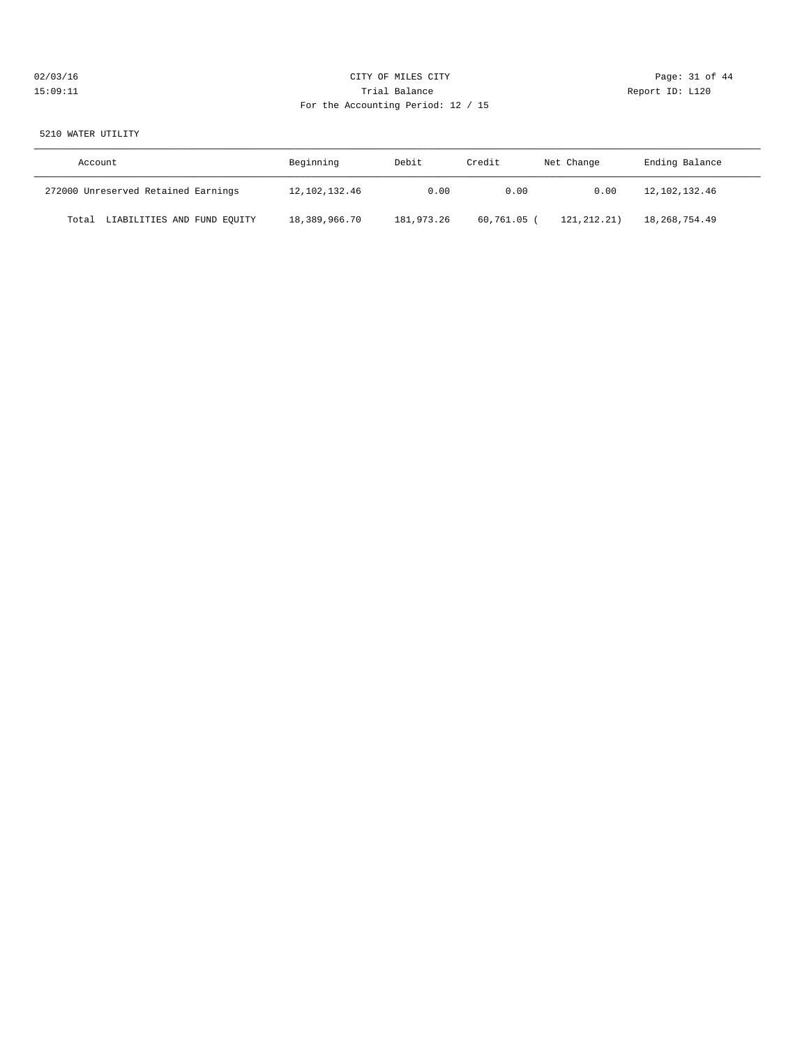# $O2/03/16$  Page: 31 of 44 15:09:11 Trial Balance Report ID: L120 For the Accounting Period: 12 / 15

#### 5210 WATER UTILITY

| Account                              | Beginning        | Debit      | Credit      | Net Change  | Ending Balance   |
|--------------------------------------|------------------|------------|-------------|-------------|------------------|
| 272000 Unreserved Retained Earnings  | 12, 102, 132, 46 | 0.00       | 0.00        | 0.00        | 12, 102, 132, 46 |
| LIABILITIES AND FUND EQUITY<br>Total | 18,389,966.70    | 181,973.26 | 60,761.05 ( | 121,212.21) | 18,268,754.49    |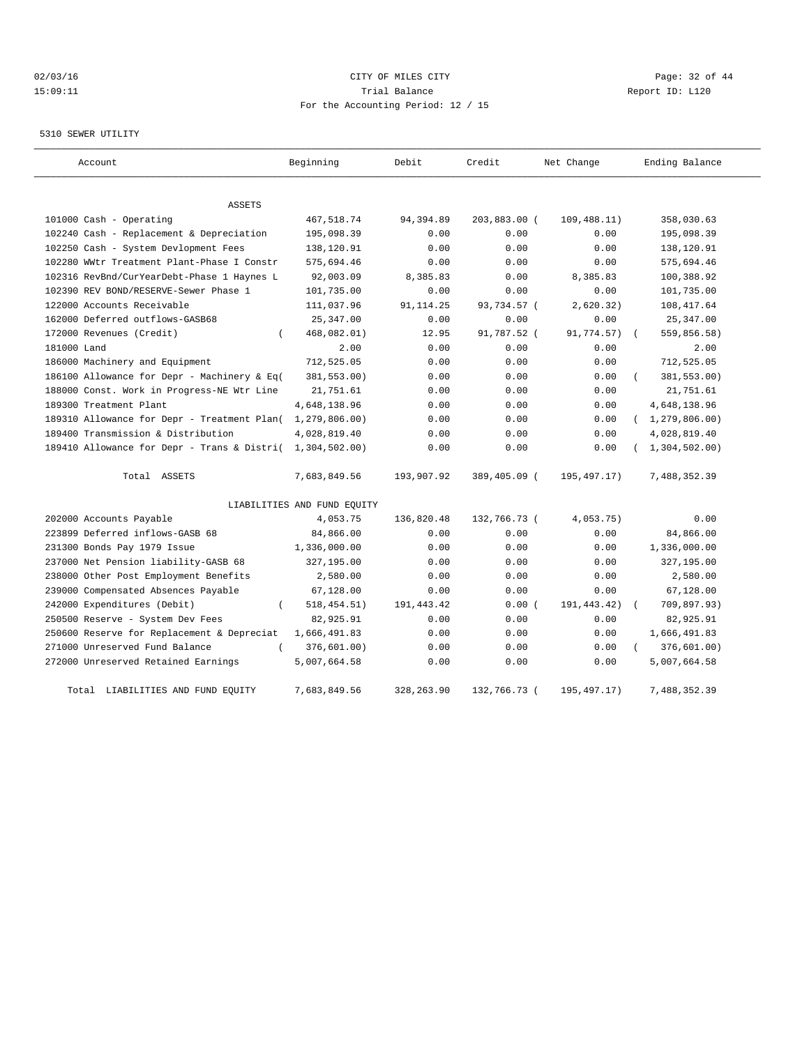# $O2/03/16$  Page: 32 of 44 15:09:11 Trial Balance Report ID: L120 For the Accounting Period: 12 / 15

#### 5310 SEWER UTILITY

| Account                                     | Beginning                   | Debit      | Credit       | Net Change    | Ending Balance            |
|---------------------------------------------|-----------------------------|------------|--------------|---------------|---------------------------|
| <b>ASSETS</b>                               |                             |            |              |               |                           |
| 101000 Cash - Operating                     | 467,518.74                  | 94,394.89  | 203,883.00 ( | 109, 488.11)  | 358,030.63                |
| 102240 Cash - Replacement & Depreciation    | 195,098.39                  | 0.00       | 0.00         | 0.00          | 195,098.39                |
| 102250 Cash - System Devlopment Fees        | 138,120.91                  | 0.00       | 0.00         | 0.00          | 138,120.91                |
| 102280 WWtr Treatment Plant-Phase I Constr  | 575,694.46                  | 0.00       | 0.00         | 0.00          | 575,694.46                |
| 102316 RevBnd/CurYearDebt-Phase 1 Haynes L  | 92,003.09                   | 8,385.83   | 0.00         | 8,385.83      | 100,388.92                |
| 102390 REV BOND/RESERVE-Sewer Phase 1       | 101,735.00                  | 0.00       | 0.00         | 0.00          | 101,735.00                |
| 122000 Accounts Receivable                  | 111,037.96                  | 91, 114.25 | 93,734.57 (  | 2,620.32)     | 108, 417.64               |
| 162000 Deferred outflows-GASB68             | 25,347.00                   | 0.00       | 0.00         | 0.00          | 25,347.00                 |
| 172000 Revenues (Credit)                    | 468,082.01)                 | 12.95      | 91,787.52 (  | 91,774.57)    | 559,856.58)               |
| 181000 Land                                 | 2.00                        | 0.00       | 0.00         | 0.00          | 2.00                      |
| 186000 Machinery and Equipment              | 712,525.05                  | 0.00       | 0.00         | 0.00          | 712,525.05                |
| 186100 Allowance for Depr - Machinery & Eq( | 381,553.00)                 | 0.00       | 0.00         | 0.00          | 381,553.00)               |
| 188000 Const. Work in Progress-NE Wtr Line  | 21,751.61                   | 0.00       | 0.00         | 0.00          | 21,751.61                 |
| 189300 Treatment Plant                      | 4,648,138.96                | 0.00       | 0.00         | 0.00          | 4,648,138.96              |
| 189310 Allowance for Depr - Treatment Plan( | 1,279,806.00)               | 0.00       | 0.00         | 0.00          | (1, 279, 806.00)          |
| 189400 Transmission & Distribution          | 4,028,819.40                | 0.00       | 0.00         | 0.00          | 4,028,819.40              |
| 189410 Allowance for Depr - Trans & Distri( | 1,304,502.00)               | 0.00       | 0.00         | 0.00          | (1, 304, 502.00)          |
| Total ASSETS                                | 7,683,849.56                | 193,907.92 | 389,405.09 ( | 195,497.17)   | 7,488,352.39              |
|                                             | LIABILITIES AND FUND EQUITY |            |              |               |                           |
| 202000 Accounts Payable                     | 4,053.75                    | 136,820.48 | 132,766.73 ( | 4,053.75)     | 0.00                      |
| 223899 Deferred inflows-GASB 68             | 84,866.00                   | 0.00       | 0.00         | 0.00          | 84,866.00                 |
| 231300 Bonds Pay 1979 Issue                 | 1,336,000.00                | 0.00       | 0.00         | 0.00          | 1,336,000.00              |
| 237000 Net Pension liability-GASB 68        | 327,195.00                  | 0.00       | 0.00         | 0.00          | 327,195.00                |
| 238000 Other Post Employment Benefits       | 2,580.00                    | 0.00       | 0.00         | 0.00          | 2,580.00                  |
| 239000 Compensated Absences Payable         | 67,128.00                   | 0.00       | 0.00         | 0.00          | 67,128.00                 |
| 242000 Expenditures (Debit)                 | 518, 454.51)                | 191,443.42 | 0.00(        | 191, 443. 42) | 709,897.93)<br>$\sqrt{2}$ |
| 250500 Reserve - System Dev Fees            | 82,925.91                   | 0.00       | 0.00         | 0.00          | 82,925.91                 |
| 250600 Reserve for Replacement & Depreciat  | 1,666,491.83                | 0.00       | 0.00         | 0.00          | 1,666,491.83              |
| 271000 Unreserved Fund Balance<br>$\left($  | 376,601.00)                 | 0.00       | 0.00         | 0.00          | $\left($<br>376,601.00)   |
| 272000 Unreserved Retained Earnings         | 5,007,664.58                | 0.00       | 0.00         | 0.00          | 5,007,664.58              |
| Total LIABILITIES AND FUND EQUITY           | 7,683,849.56                | 328,263.90 | 132,766.73 ( | 195, 497. 17) | 7,488,352.39              |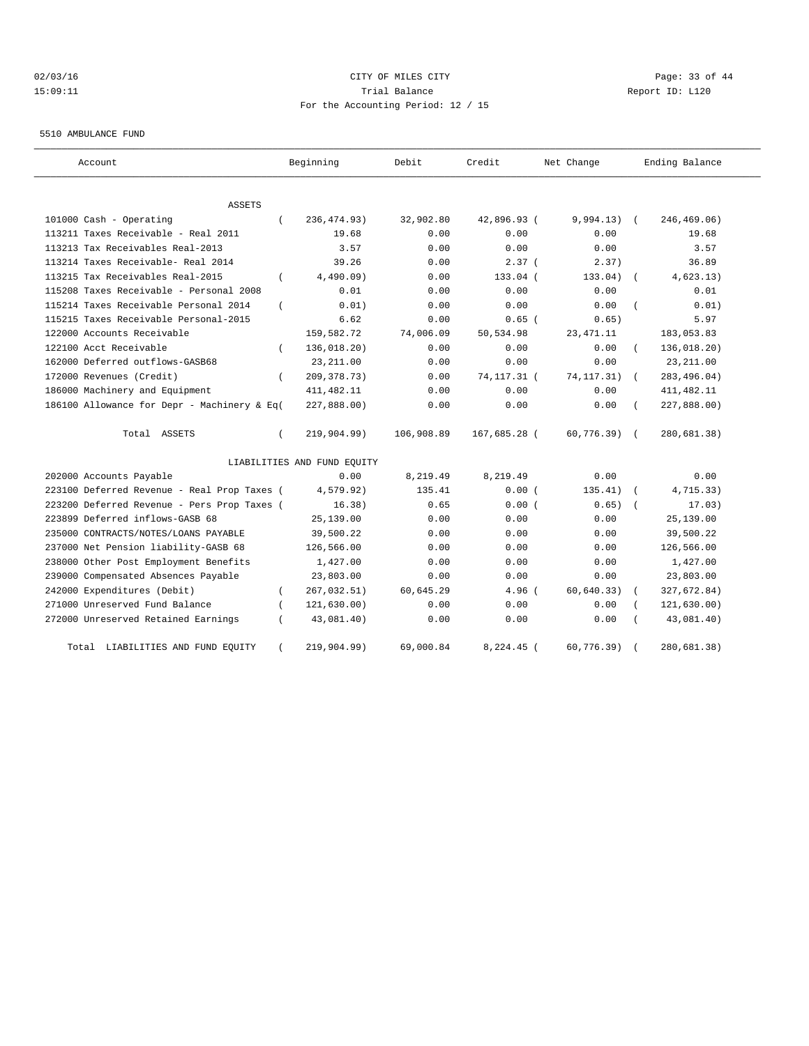# $O2/03/16$  Page: 33 of 44 15:09:11 Trial Balance Report ID: L120 For the Accounting Period: 12 / 15

5510 AMBULANCE FUND

| Account                                     | Beginning                   | Debit      | Credit        | Net Change    | Ending Balance             |
|---------------------------------------------|-----------------------------|------------|---------------|---------------|----------------------------|
| ASSETS                                      |                             |            |               |               |                            |
| 101000 Cash - Operating<br>$\left($         | 236, 474.93)                | 32,902.80  | 42,896.93 (   | $9,994.13)$ ( | 246,469.06)                |
| 113211 Taxes Receivable - Real 2011         | 19.68                       | 0.00       | 0.00          | 0.00          | 19.68                      |
| 113213 Tax Receivables Real-2013            | 3.57                        | 0.00       | 0.00          | 0.00          | 3.57                       |
| 113214 Taxes Receivable- Real 2014          | 39.26                       | 0.00       | 2.37(         | 2.37)         | 36.89                      |
| 113215 Tax Receivables Real-2015            | 4,490.09)                   | 0.00       | 133.04 (      | 133.04)       | 4,623.13)                  |
| 115208 Taxes Receivable - Personal 2008     | 0.01                        | 0.00       | 0.00          | 0.00          | 0.01                       |
| 115214 Taxes Receivable Personal 2014       | 0.01)                       | 0.00       | 0.00          | 0.00          | 0.01)                      |
| 115215 Taxes Receivable Personal-2015       | 6.62                        | 0.00       | $0.65$ (      | 0.65)         | 5.97                       |
| 122000 Accounts Receivable                  | 159,582.72                  | 74,006.09  | 50,534.98     | 23, 471.11    | 183,053.83                 |
| 122100 Acct Receivable                      | 136,018.20)                 | 0.00       | 0.00          | 0.00          | 136,018.20)                |
| 162000 Deferred outflows-GASB68             | 23, 211.00                  | 0.00       | 0.00          | 0.00          | 23, 211.00                 |
| 172000 Revenues (Credit)                    | 209, 378. 73)               | 0.00       | 74, 117. 31 ( | 74, 117. 31)  | 283, 496.04)<br>$\sqrt{2}$ |
| 186000 Machinery and Equipment              | 411, 482.11                 | 0.00       | 0.00          | 0.00          | 411, 482.11                |
| 186100 Allowance for Depr - Machinery & Eq( | 227,888.00)                 | 0.00       | 0.00          | 0.00          | 227,888.00)                |
| Total ASSETS                                | 219,904.99)                 | 106,908.89 | 167,685.28 (  | 60,776.39)    | 280,681.38)                |
|                                             | LIABILITIES AND FUND EQUITY |            |               |               |                            |
| 202000 Accounts Payable                     | 0.00                        | 8,219.49   | 8,219.49      | 0.00          | 0.00                       |
| 223100 Deferred Revenue - Real Prop Taxes ( | 4,579.92)                   | 135.41     | 0.00(         | 135.41)       | 4,715.33)                  |
| 223200 Deferred Revenue - Pers Prop Taxes ( | 16.38)                      | 0.65       | 0.00(         | 0.65)         | 17.03)                     |
| 223899 Deferred inflows-GASB 68             | 25,139.00                   | 0.00       | 0.00          | 0.00          | 25,139.00                  |
| 235000 CONTRACTS/NOTES/LOANS PAYABLE        | 39,500.22                   | 0.00       | 0.00          | 0.00          | 39,500.22                  |
| 237000 Net Pension liability-GASB 68        | 126,566.00                  | 0.00       | 0.00          | 0.00          | 126,566.00                 |
| 238000 Other Post Employment Benefits       | 1,427.00                    | 0.00       | 0.00          | 0.00          | 1,427.00                   |
| 239000 Compensated Absences Payable         | 23,803.00                   | 0.00       | 0.00          | 0.00          | 23,803.00                  |
| 242000 Expenditures (Debit)                 | 267,032.51)                 | 60,645.29  | 4.96 (        | 60, 640.33)   | 327,672.84)                |
| 271000 Unreserved Fund Balance              | 121,630.00)                 | 0.00       | 0.00          | 0.00          | 121, 630.00)               |
| 272000 Unreserved Retained Earnings         | 43,081.40)                  | 0.00       | 0.00          | 0.00          | 43,081.40)                 |
| LIABILITIES AND FUND EQUITY<br>Total        | 219,904.99)                 | 69,000.84  | $8,224.45$ (  | 60, 776.39)   | 280,681.38)                |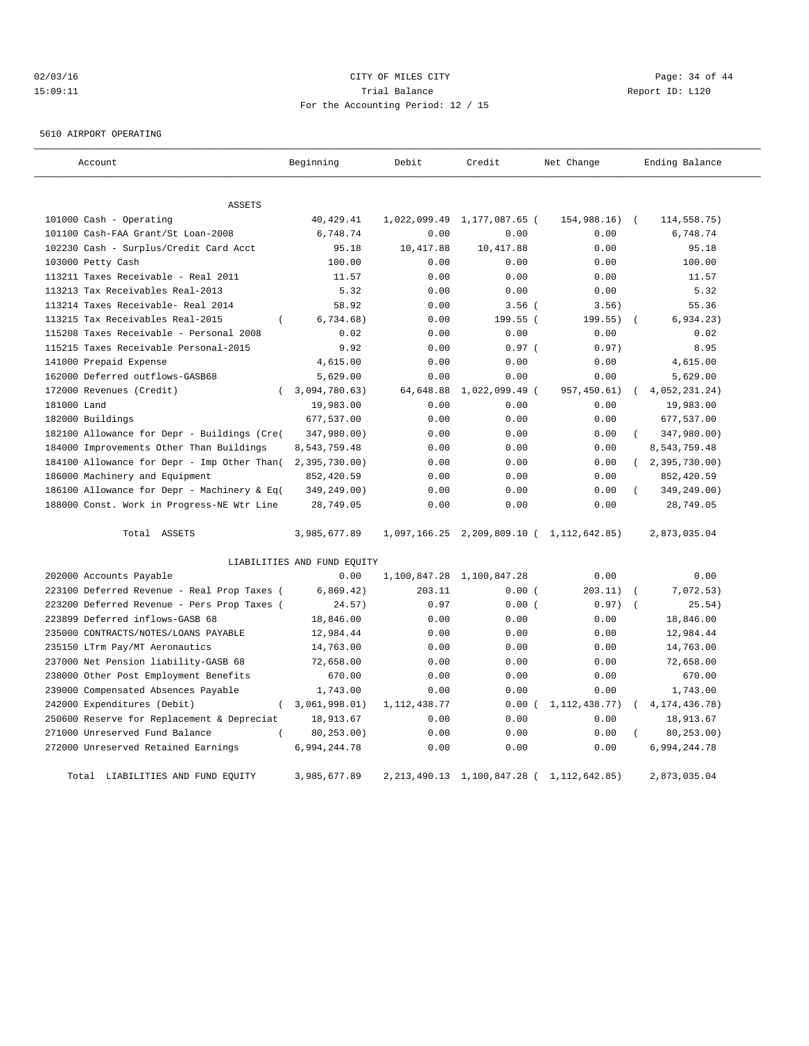# $O2/03/16$  Page: 34 of 44 15:09:11 Trial Balance Report ID: L120 For the Accounting Period: 12 / 15

5610 AIRPORT OPERATING

| Account                                            | Beginning                   | Debit          | Credit                                    | Net Change      | Ending Balance            |
|----------------------------------------------------|-----------------------------|----------------|-------------------------------------------|-----------------|---------------------------|
| <b>ASSETS</b>                                      |                             |                |                                           |                 |                           |
| 101000 Cash - Operating                            | 40, 429. 41                 | 1,022,099.49   | 1,177,087.65 (                            | 154,988.16)     | 114,558.75)<br>$\sqrt{ }$ |
| 101100 Cash-FAA Grant/St Loan-2008                 | 6,748.74                    | 0.00           | 0.00                                      | 0.00            | 6,748.74                  |
| 102230 Cash - Surplus/Credit Card Acct             | 95.18                       | 10,417.88      | 10, 417.88                                | 0.00            | 95.18                     |
| 103000 Petty Cash                                  | 100.00                      | 0.00           | 0.00                                      | 0.00            | 100.00                    |
| 113211 Taxes Receivable - Real 2011                | 11.57                       | 0.00           | 0.00                                      | 0.00            | 11.57                     |
| 113213 Tax Receivables Real-2013                   | 5.32                        | 0.00           | 0.00                                      | 0.00            | 5.32                      |
| 113214 Taxes Receivable- Real 2014                 | 58.92                       | 0.00           | $3.56$ (                                  | 3.56)           | 55.36                     |
| 113215 Tax Receivables Real-2015<br>$\overline{ }$ | 6,734.68)                   | 0.00           | 199.55 (                                  | 199.55)         | 6,934.23)                 |
| 115208 Taxes Receivable - Personal 2008            | 0.02                        | 0.00           | 0.00                                      | 0.00            | 0.02                      |
| 115215 Taxes Receivable Personal-2015              | 9.92                        | 0.00           | 0.97(                                     | 0.97)           | 8.95                      |
| 141000 Prepaid Expense                             | 4,615.00                    | 0.00           | 0.00                                      | 0.00            | 4,615.00                  |
| 162000 Deferred outflows-GASB68                    | 5,629.00                    | 0.00           | 0.00                                      | 0.00            | 5,629.00                  |
| 172000 Revenues (Credit)                           | 3,094,780.63)               | 64,648.88      | 1,022,099.49 (                            | 957,450.61)     | 4,052,231.24)             |
| 181000 Land                                        | 19,983.00                   | 0.00           | 0.00                                      | 0.00            | 19,983.00                 |
| 182000 Buildings                                   | 677,537.00                  | 0.00           | 0.00                                      | 0.00            | 677,537.00                |
| 182100 Allowance for Depr - Buildings (Cre(        | 347,980.00)                 | 0.00           | 0.00                                      | 0.00            | 347,980.00)               |
| 184000 Improvements Other Than Buildings           | 8,543,759.48                | 0.00           | 0.00                                      | 0.00            | 8,543,759.48              |
| 184100 Allowance for Depr - Imp Other Than(        | 2,395,730.00)               | 0.00           | 0.00                                      | 0.00            | (2, 395, 730.00)          |
| 186000 Machinery and Equipment                     | 852,420.59                  | 0.00           | 0.00                                      | 0.00            | 852,420.59                |
| 186100 Allowance for Depr - Machinery & Eq(        | 349,249.00)                 | 0.00           | 0.00                                      | 0.00            | 349,249.00)               |
| 188000 Const. Work in Progress-NE Wtr Line         | 28,749.05                   | 0.00           | 0.00                                      | 0.00            | 28,749.05                 |
| Total ASSETS                                       | 3,985,677.89                |                | 1,097,166.25 2,209,809.10 ( 1,112,642.85) |                 | 2,873,035.04              |
|                                                    | LIABILITIES AND FUND EOUITY |                |                                           |                 |                           |
| 202000 Accounts Payable                            | 0.00                        | 1,100,847.28   | 1,100,847.28                              | 0.00            | 0.00                      |
| 223100 Deferred Revenue - Real Prop Taxes (        | 6,869.42)                   | 203.11         | 0.00(                                     | 203.11)         | 7,072.53)                 |
| 223200 Deferred Revenue - Pers Prop Taxes (        | 24.57)                      | 0.97           | 0.00(                                     | 0.97)           | 25.54)                    |
| 223899 Deferred inflows-GASB 68                    | 18,846.00                   | 0.00           | 0.00                                      | 0.00            | 18,846.00                 |
| 235000 CONTRACTS/NOTES/LOANS PAYABLE               | 12,984.44                   | 0.00           | 0.00                                      | 0.00            | 12,984.44                 |
| 235150 LTrm Pay/MT Aeronautics                     | 14,763.00                   | 0.00           | 0.00                                      | 0.00            | 14,763.00                 |
| 237000 Net Pension liability-GASB 68               | 72,658.00                   | 0.00           | 0.00                                      | 0.00            | 72,658.00                 |
| 238000 Other Post Employment Benefits              | 670.00                      | 0.00           | 0.00                                      | 0.00            | 670.00                    |
| 239000 Compensated Absences Payable                | 1,743.00                    | 0.00           | 0.00                                      | 0.00            | 1,743.00                  |
| 242000 Expenditures (Debit)<br>$\left($            | 3,061,998.01)               | 1, 112, 438.77 | 0.00(                                     | 1, 112, 438.77) | 4, 174, 436. 78)          |
| 250600 Reserve for Replacement & Depreciat         | 18,913.67                   | 0.00           | 0.00                                      | 0.00            | 18,913.67                 |
| 271000 Unreserved Fund Balance<br>$\left($         | 80, 253.00)                 | 0.00           | 0.00                                      | 0.00            | 80,253.00)                |
| 272000 Unreserved Retained Earnings                | 6,994,244.78                | 0.00           | 0.00                                      | 0.00            | 6,994,244.78              |
| Total LIABILITIES AND FUND EQUITY                  | 3,985,677.89                |                | 2, 213, 490.13 1, 100, 847.28 (           | 1, 112, 642.85) | 2,873,035.04              |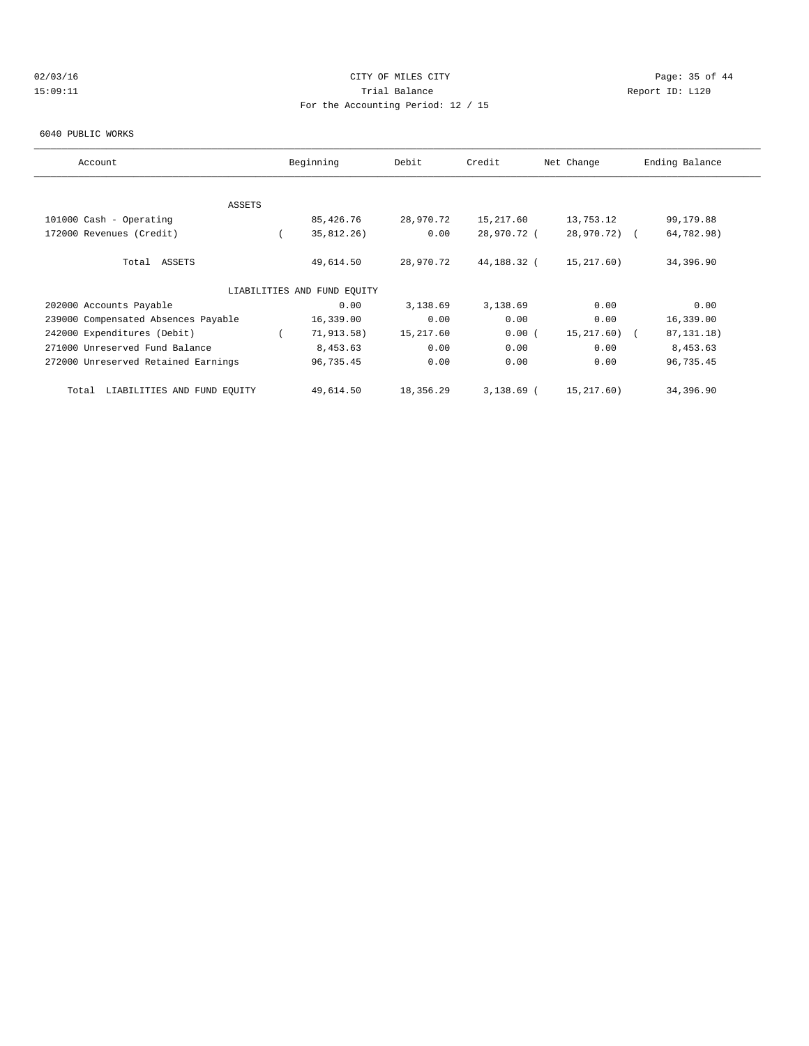# $O2/03/16$  Page: 35 of 44 15:09:11 Trial Balance Report ID: L120 For the Accounting Period: 12 / 15

#### 6040 PUBLIC WORKS

| Account                              | Beginning                   | Debit     | Credit      | Net Change   | Ending Balance |
|--------------------------------------|-----------------------------|-----------|-------------|--------------|----------------|
|                                      |                             |           |             |              |                |
| ASSETS                               |                             |           |             |              |                |
| 101000 Cash - Operating              | 85,426.76                   | 28,970.72 | 15,217.60   | 13,753.12    | 99,179.88      |
| 172000 Revenues (Credit)             | 35,812.26)                  | 0.00      | 28,970.72 ( | 28,970.72) ( | 64,782.98)     |
| Total ASSETS                         | 49,614.50                   | 28,970.72 | 44,188.32 ( | 15,217.60)   | 34,396.90      |
|                                      | LIABILITIES AND FUND EQUITY |           |             |              |                |
| 202000 Accounts Payable              | 0.00                        | 3,138.69  | 3,138.69    | 0.00         | 0.00           |
| 239000 Compensated Absences Payable  | 16,339.00                   | 0.00      | 0.00        | 0.00         | 16,339.00      |
| 242000 Expenditures (Debit)          | 71, 913.58)                 | 15,217.60 | 0.00(       | 15,217.60) ( | 87, 131. 18)   |
| 271000 Unreserved Fund Balance       | 8,453.63                    | 0.00      | 0.00        | 0.00         | 8,453.63       |
| 272000 Unreserved Retained Earnings  | 96,735.45                   | 0.00      | 0.00        | 0.00         | 96,735.45      |
| LIABILITIES AND FUND EQUITY<br>Total | 49,614.50                   | 18,356.29 | 3,138.69 (  | 15,217.60)   | 34,396.90      |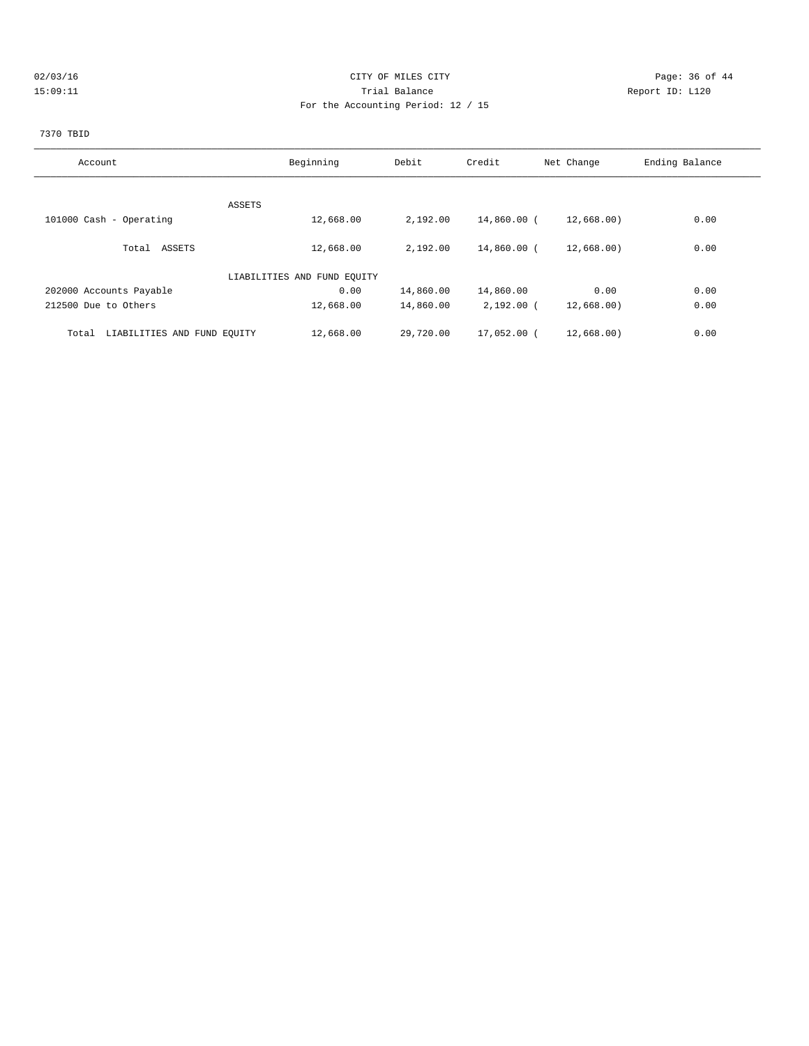# $O2/03/16$  Page: 36 of 44 15:09:11 Trial Balance Report ID: L120 For the Accounting Period: 12 / 15

# 7370 TBID

| Account                              | Beginning                   | Debit     | Credit       | Net Change | Ending Balance |
|--------------------------------------|-----------------------------|-----------|--------------|------------|----------------|
|                                      |                             |           |              |            |                |
|                                      |                             |           |              |            |                |
| ASSETS                               |                             |           |              |            |                |
| 101000 Cash - Operating              | 12,668.00                   | 2,192.00  | 14,860.00 (  | 12,668.00) | 0.00           |
|                                      |                             |           |              |            |                |
| Total ASSETS                         | 12,668.00                   | 2,192.00  | 14,860.00 (  | 12,668.00) | 0.00           |
|                                      | LIABILITIES AND FUND EQUITY |           |              |            |                |
| 202000 Accounts Payable              | 0.00                        | 14,860.00 | 14,860.00    | 0.00       | 0.00           |
| 212500 Due to Others                 | 12,668.00                   | 14,860.00 | $2,192.00$ ( | 12,668.00) | 0.00           |
|                                      |                             |           |              |            |                |
| LIABILITIES AND FUND EQUITY<br>Total | 12,668.00                   | 29,720.00 | 17,052.00 (  | 12,668.00) | 0.00           |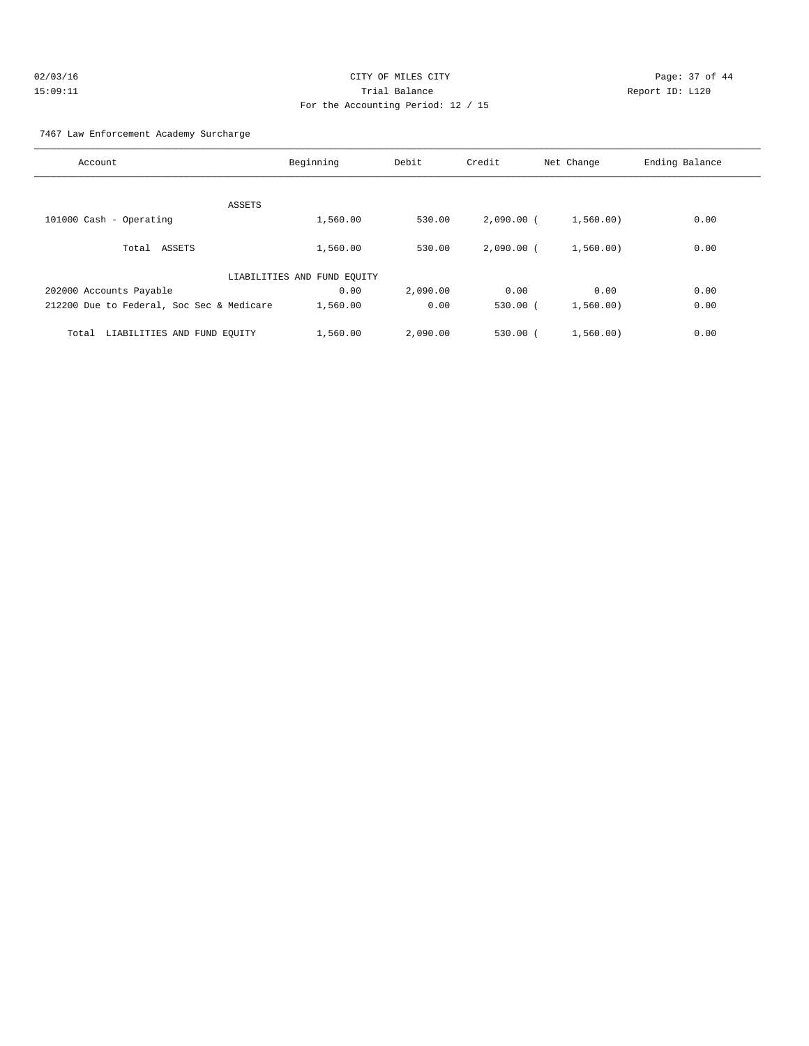#### 7467 Law Enforcement Academy Surcharge

| Account                                   | Beginning                   | Debit    | Credit       | Net Change | Ending Balance |
|-------------------------------------------|-----------------------------|----------|--------------|------------|----------------|
|                                           |                             |          |              |            |                |
|                                           | ASSETS                      |          |              |            |                |
| 101000 Cash - Operating                   | 1,560.00                    | 530.00   | $2,090.00$ ( | 1,560.00)  | 0.00           |
| Total ASSETS                              | 1,560.00                    | 530.00   | $2.090.00$ ( | 1,560,00)  | 0.00           |
|                                           | LIABILITIES AND FUND EQUITY |          |              |            |                |
| 202000 Accounts Payable                   | 0.00                        | 2,090.00 | 0.00         | 0.00       | 0.00           |
| 212200 Due to Federal, Soc Sec & Medicare | 1,560.00                    | 0.00     | $530.00$ $($ | 1,560,00)  | 0.00           |
| LIABILITIES AND FUND EQUITY<br>Total      | 1,560.00                    | 2,090.00 | $530.00$ (   | 1,560.00)  | 0.00           |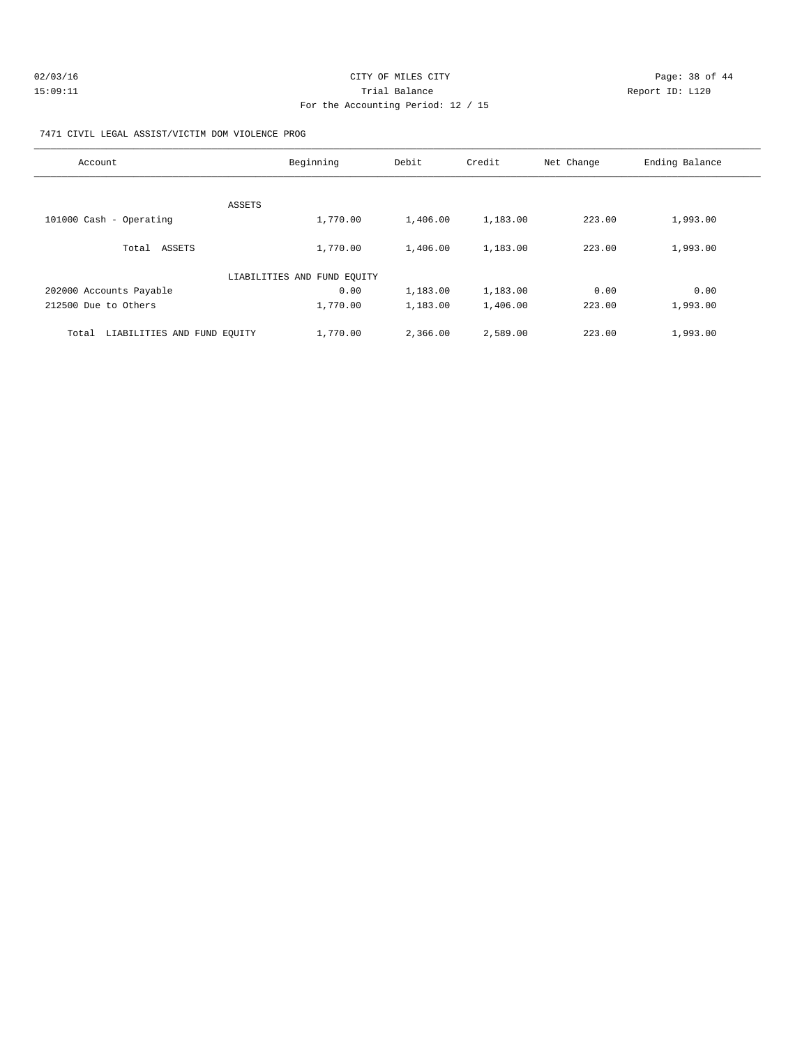| 02/03/16 | CITY OF MILES CITY                 | Page: 38 of 44  |  |
|----------|------------------------------------|-----------------|--|
| 15:09:11 | Trial Balance                      | Report ID: L120 |  |
|          | For the Accounting Period: 12 / 15 |                 |  |

#### 7471 CIVIL LEGAL ASSIST/VICTIM DOM VIOLENCE PROG

| Account                              | Beginning                   | Debit    | Credit   | Net Change | Ending Balance |
|--------------------------------------|-----------------------------|----------|----------|------------|----------------|
|                                      |                             |          |          |            |                |
| ASSETS                               |                             |          |          |            |                |
| 101000 Cash - Operating              | 1,770.00                    | 1,406.00 | 1,183.00 | 223.00     | 1,993.00       |
| Total ASSETS                         | 1,770.00                    | 1,406.00 | 1,183.00 | 223.00     | 1,993.00       |
|                                      | LIABILITIES AND FUND EQUITY |          |          |            |                |
| 202000 Accounts Payable              | 0.00                        | 1,183.00 | 1,183.00 | 0.00       | 0.00           |
| 212500 Due to Others                 | 1,770.00                    | 1,183.00 | 1,406.00 | 223.00     | 1,993.00       |
| LIABILITIES AND FUND EQUITY<br>Total | 1,770.00                    | 2,366.00 | 2,589.00 | 223.00     | 1,993.00       |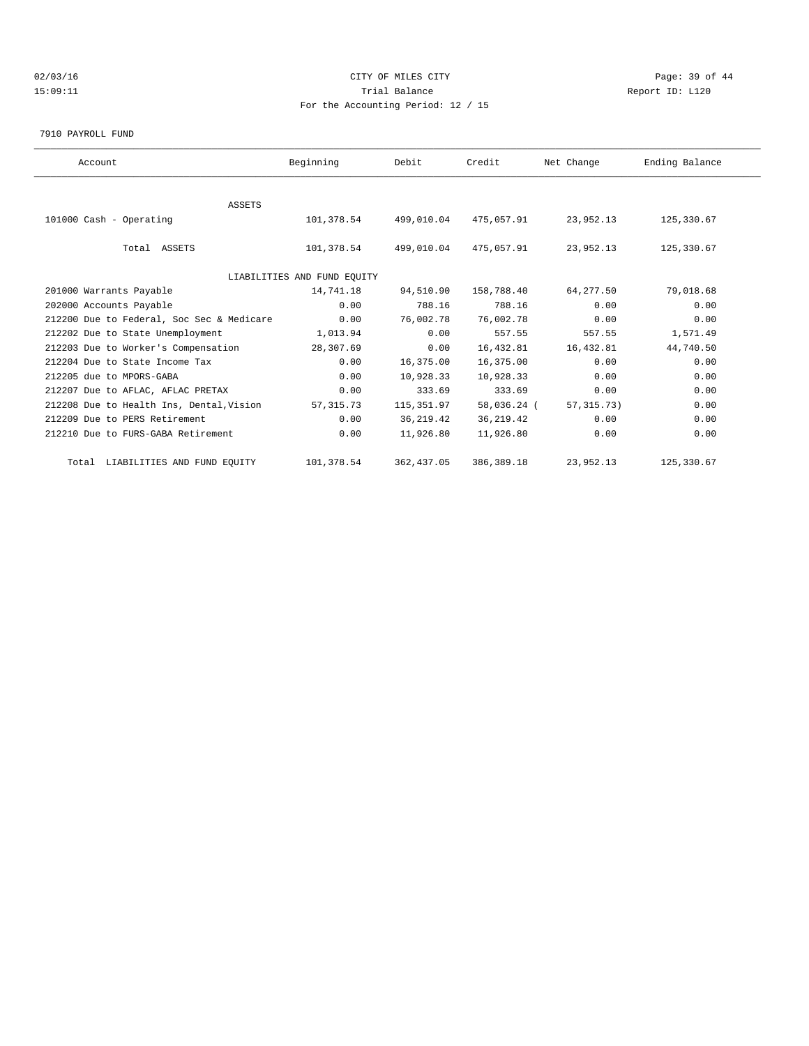# $O2/03/16$  Page: 39 of 44 15:09:11 Trial Balance Report ID: L120 For the Accounting Period: 12 / 15

7910 PAYROLL FUND

| Beginning  | Debit                                     | Credit                      | Net Change   | Ending Balance |  |
|------------|-------------------------------------------|-----------------------------|--------------|----------------|--|
|            |                                           |                             |              |                |  |
|            |                                           |                             |              |                |  |
| 101,378.54 | 499,010.04                                | 475,057.91                  | 23,952.13    | 125,330.67     |  |
|            |                                           |                             |              |                |  |
| 101,378.54 | 499,010.04                                | 475,057.91                  | 23,952.13    | 125,330.67     |  |
|            |                                           |                             |              |                |  |
|            |                                           |                             |              |                |  |
| 14,741.18  | 94,510.90                                 | 158,788.40                  | 64,277.50    | 79,018.68      |  |
| 0.00       | 788.16                                    | 788.16                      | 0.00         | 0.00           |  |
| 0.00       | 76,002.78                                 | 76,002.78                   | 0.00         | 0.00           |  |
| 1,013.94   | 0.00                                      | 557.55                      | 557.55       | 1,571.49       |  |
| 28,307.69  | 0.00                                      | 16,432.81                   | 16,432.81    | 44,740.50      |  |
| 0.00       | 16,375.00                                 | 16,375.00                   | 0.00         | 0.00           |  |
| 0.00       | 10,928.33                                 | 10,928.33                   | 0.00         | 0.00           |  |
| 0.00       | 333.69                                    | 333.69                      | 0.00         | 0.00           |  |
| 57, 315.73 | 115,351.97                                |                             | 57, 315, 73) | 0.00           |  |
| 0.00       | 36, 219.42                                | 36, 219.42                  | 0.00         | 0.00           |  |
| 0.00       | 11,926.80                                 | 11,926.80                   | 0.00         | 0.00           |  |
| 101,378.54 | 362, 437.05                               | 386, 389. 18                | 23,952.13    | 125,330.67     |  |
|            | 212200 Due to Federal, Soc Sec & Medicare | LIABILITIES AND FUND EOUITY |              | 58,036.24 (    |  |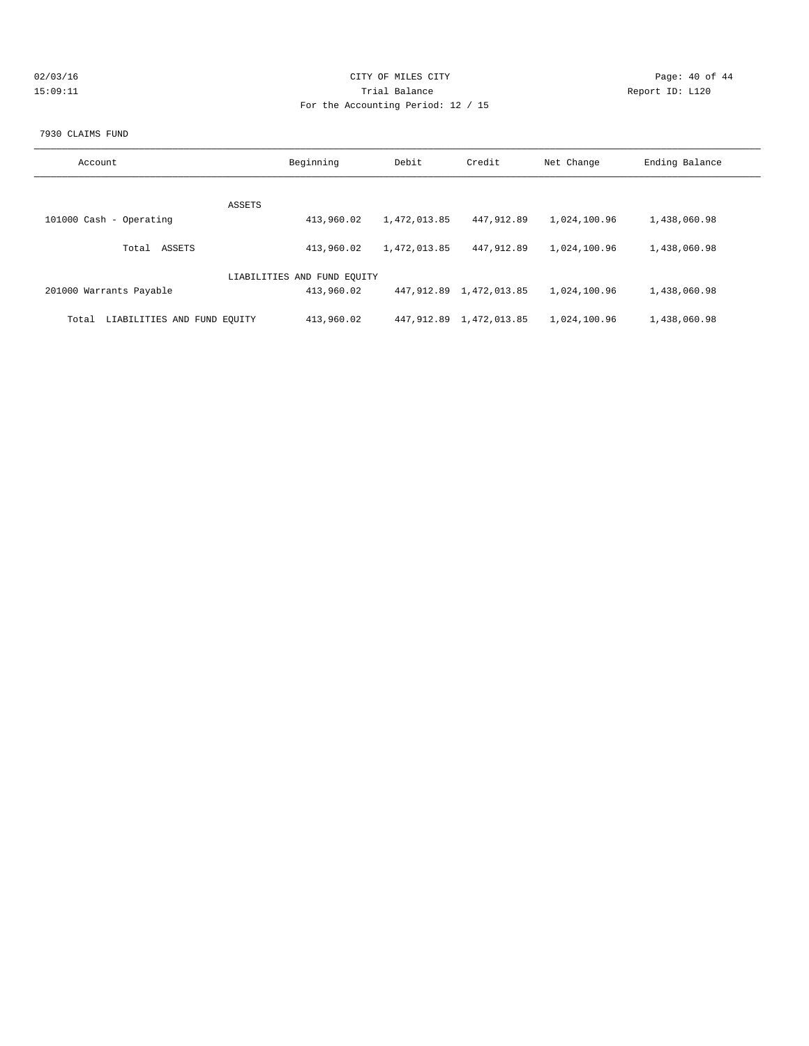| 02/03/16 |  |
|----------|--|
| 15:09:11 |  |

# CITY OF MILES CITY CONTROL CONTROL CONTROL CONTROL CONTROL PAGE: 40 of 44 15:09:11 Trial Balance and Communications of the Report ID: L120 For the Accounting Period: 12 / 15

#### 7930 CLAIMS FUND

| Account                              | Beginning                   | Debit        | Credit                     | Net Change   | Ending Balance |
|--------------------------------------|-----------------------------|--------------|----------------------------|--------------|----------------|
|                                      |                             |              |                            |              |                |
|                                      | ASSETS                      |              |                            |              |                |
| 101000 Cash - Operating              | 413,960.02                  | 1,472,013.85 | 447,912.89                 | 1,024,100.96 | 1,438,060.98   |
| ASSETS<br>Total                      | 413,960.02                  | 1,472,013.85 | 447,912.89                 | 1,024,100.96 | 1,438,060.98   |
|                                      | LIABILITIES AND FUND EQUITY |              |                            |              |                |
| 201000 Warrants Payable              | 413,960.02                  |              | 447, 912.89 1, 472, 013.85 | 1,024,100.96 | 1,438,060.98   |
| LIABILITIES AND FUND EOUITY<br>Total | 413,960.02                  | 447, 912, 89 | 1,472,013.85               | 1,024,100.96 | 1,438,060.98   |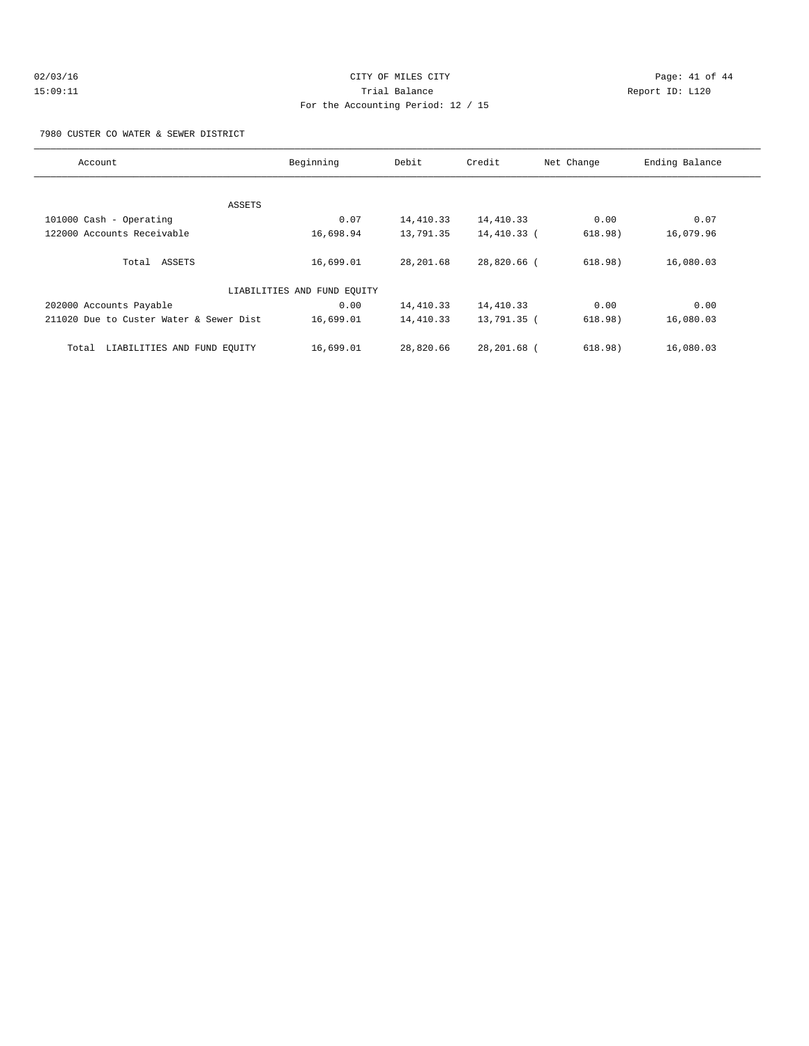# $O2/03/16$  Page: 41 of 44 15:09:11 Trial Balance Report ID: L120 For the Accounting Period: 12 / 15

#### 7980 CUSTER CO WATER & SEWER DISTRICT

| Account                                 | Beginning                   | Debit     | Credit      | Net Change | Ending Balance |
|-----------------------------------------|-----------------------------|-----------|-------------|------------|----------------|
|                                         |                             |           |             |            |                |
| ASSETS                                  |                             |           |             |            |                |
| 101000 Cash - Operating                 | 0.07                        | 14,410.33 | 14,410.33   | 0.00       | 0.07           |
| 122000 Accounts Receivable              | 16,698.94                   | 13,791.35 | 14,410.33 ( | 618.98)    | 16,079.96      |
| Total ASSETS                            | 16,699.01                   | 28,201.68 | 28,820.66 ( | 618.98)    | 16,080.03      |
|                                         | LIABILITIES AND FUND EQUITY |           |             |            |                |
| 202000 Accounts Payable                 | 0.00                        | 14,410.33 | 14,410.33   | 0.00       | 0.00           |
| 211020 Due to Custer Water & Sewer Dist | 16,699.01                   | 14,410.33 | 13,791.35 ( | 618.98)    | 16,080.03      |
| LIABILITIES AND FUND EQUITY<br>Total    | 16,699.01                   | 28,820.66 | 28,201.68 ( | 618.98)    | 16,080.03      |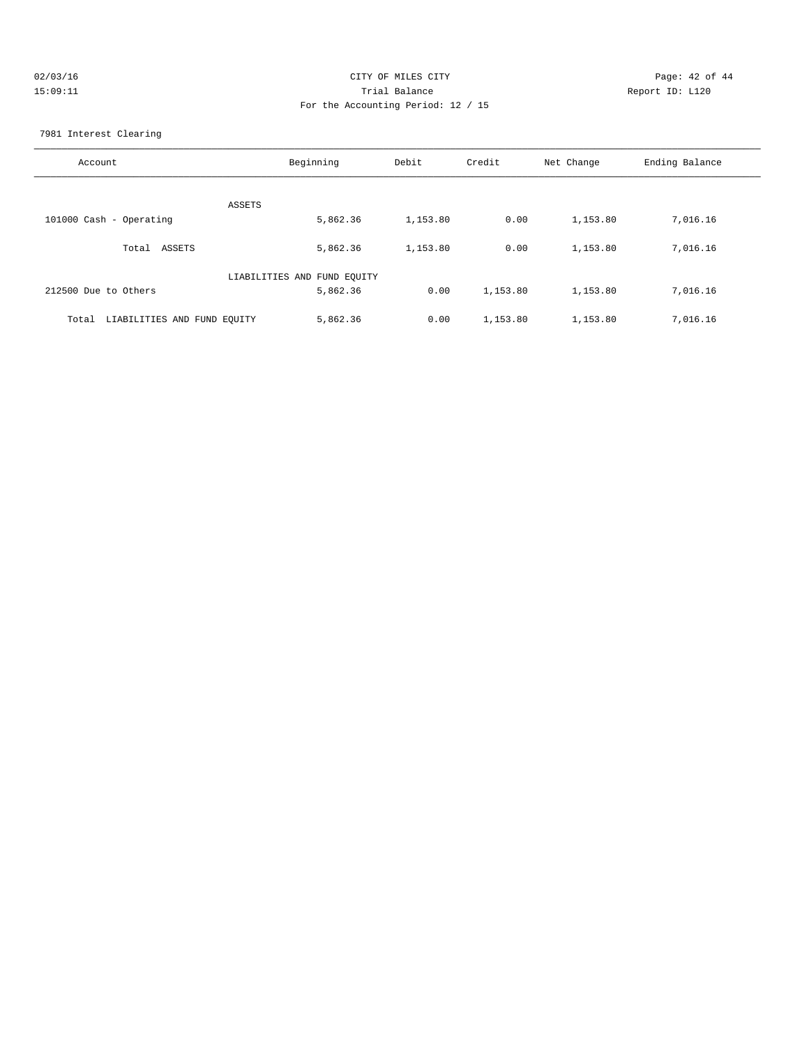| 02/03/16 | CITY OF MILES CITY                 | Page: 42 of 44  |
|----------|------------------------------------|-----------------|
| 15:09:11 | Trial Balance                      | Report ID: L120 |
|          | For the Accounting Period: 12 / 15 |                 |

7981 Interest Clearing

| Account                              | Beginning                   | Debit    | Credit   | Net Change | Ending Balance |
|--------------------------------------|-----------------------------|----------|----------|------------|----------------|
| ASSETS                               |                             |          |          |            |                |
| 101000 Cash - Operating              | 5,862.36                    | 1,153.80 | 0.00     | 1,153.80   | 7,016.16       |
| ASSETS<br>Total                      | 5,862.36                    | 1,153.80 | 0.00     | 1,153.80   | 7,016.16       |
|                                      | LIABILITIES AND FUND EQUITY |          |          |            |                |
| 212500 Due to Others                 | 5,862.36                    | 0.00     | 1,153.80 | 1,153.80   | 7,016.16       |
| LIABILITIES AND FUND EQUITY<br>Total | 5,862.36                    | 0.00     | 1,153.80 | 1,153.80   | 7,016.16       |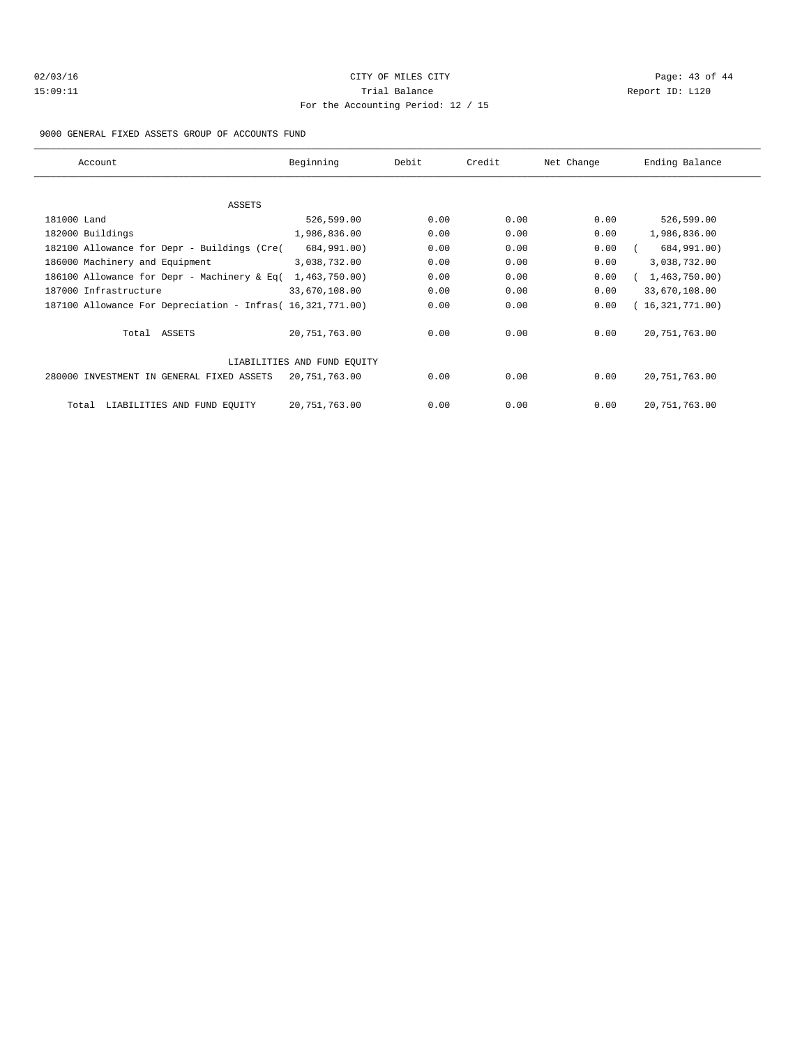# $O2/03/16$  Page: 43 of 44 15:09:11 Trial Balance Report ID: L120 For the Accounting Period: 12 / 15

#### 9000 GENERAL FIXED ASSETS GROUP OF ACCOUNTS FUND

| Account                                                    | Beginning                   | Debit | Credit | Net Change | Ending Balance  |
|------------------------------------------------------------|-----------------------------|-------|--------|------------|-----------------|
|                                                            |                             |       |        |            |                 |
| ASSETS                                                     |                             |       |        |            |                 |
| 181000 Land                                                | 526,599.00                  | 0.00  | 0.00   | 0.00       | 526,599.00      |
| 182000 Buildings                                           | 1,986,836.00                | 0.00  | 0.00   | 0.00       | 1,986,836.00    |
| 182100 Allowance for Depr - Buildings (Cre(                | 684,991.00)                 | 0.00  | 0.00   | 0.00       | 684,991.00)     |
| 186000 Machinery and Equipment                             | 3,038,732.00                | 0.00  | 0.00   | 0.00       | 3,038,732.00    |
| 186100 Allowance for Depr - Machinery & Eq(                | 1,463,750.00)               | 0.00  | 0.00   | 0.00       | 1,463,750.00)   |
| 187000 Infrastructure                                      | 33,670,108.00               | 0.00  | 0.00   | 0.00       | 33,670,108.00   |
| 187100 Allowance For Depreciation - Infras( 16,321,771.00) |                             | 0.00  | 0.00   | 0.00       | (16,321,771.00) |
| Total ASSETS                                               | 20,751,763.00               | 0.00  | 0.00   | 0.00       | 20, 751, 763.00 |
|                                                            | LIABILITIES AND FUND EQUITY |       |        |            |                 |
| 280000 INVESTMENT IN GENERAL FIXED ASSETS                  | 20,751,763.00               | 0.00  | 0.00   | 0.00       | 20, 751, 763.00 |
| LIABILITIES AND FUND EQUITY<br>Total                       | 20,751,763.00               | 0.00  | 0.00   | 0.00       | 20, 751, 763.00 |